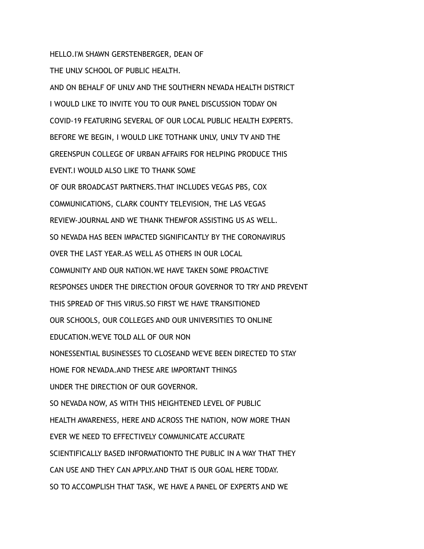## HELLO.I'M SHAWN GERSTENBERGER, DEAN OF

THE UNLV SCHOOL OF PUBLIC HEALTH.

AND ON BEHALF OF UNLV AND THE SOUTHERN NEVADA HEALTH DISTRICT I WOULD LIKE TO INVITE YOU TO OUR PANEL DISCUSSION TODAY ON COVID-19 FEATURING SEVERAL OF OUR LOCAL PUBLIC HEALTH EXPERTS. BEFORE WE BEGIN, I WOULD LIKE TOTHANK UNLV, UNLV TV AND THE GREENSPUN COLLEGE OF URBAN AFFAIRS FOR HELPING PRODUCE THIS EVENT.I WOULD ALSO LIKE TO THANK SOME OF OUR BROADCAST PARTNERS.THAT INCLUDES VEGAS PBS, COX COMMUNICATIONS, CLARK COUNTY TELEVISION, THE LAS VEGAS REVIEW-JOURNAL AND WE THANK THEMFOR ASSISTING US AS WELL. SO NEVADA HAS BEEN IMPACTED SIGNIFICANTLY BY THE CORONAVIRUS OVER THE LAST YEAR.AS WELL AS OTHERS IN OUR LOCAL COMMUNITY AND OUR NATION.WE HAVE TAKEN SOME PROACTIVE RESPONSES UNDER THE DIRECTION OFOUR GOVERNOR TO TRY AND PREVENT THIS SPREAD OF THIS VIRUS.SO FIRST WE HAVE TRANSITIONED OUR SCHOOLS, OUR COLLEGES AND OUR UNIVERSITIES TO ONLINE EDUCATION.WE'VE TOLD ALL OF OUR NON NONESSENTIAL BUSINESSES TO CLOSEAND WE'VE BEEN DIRECTED TO STAY HOME FOR NEVADA.AND THESE ARE IMPORTANT THINGS UNDER THE DIRECTION OF OUR GOVERNOR. SO NEVADA NOW, AS WITH THIS HEIGHTENED LEVEL OF PUBLIC HEALTH AWARENESS, HERE AND ACROSS THE NATION, NOW MORE THAN EVER WE NEED TO EFFECTIVELY COMMUNICATE ACCURATE SCIENTIFICALLY BASED INFORMATIONTO THE PUBLIC IN A WAY THAT THEY CAN USE AND THEY CAN APPLY.AND THAT IS OUR GOAL HERE TODAY. SO TO ACCOMPLISH THAT TASK, WE HAVE A PANEL OF EXPERTS AND WE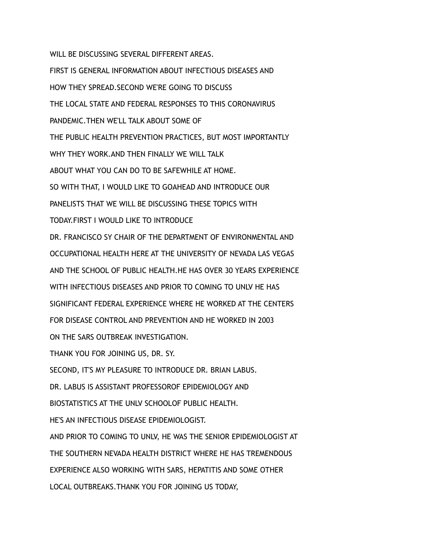WILL BE DISCUSSING SEVERAL DIFFERENT AREAS. FIRST IS GENERAL INFORMATION ABOUT INFECTIOUS DISEASES AND HOW THEY SPREAD.SECOND WE'RE GOING TO DISCUSS THE LOCAL STATE AND FEDERAL RESPONSES TO THIS CORONAVIRUS PANDEMIC.THEN WE'LL TALK ABOUT SOME OF THE PUBLIC HEALTH PREVENTION PRACTICES, BUT MOST IMPORTANTLY WHY THEY WORK, AND THEN FINALLY WE WILL TALK ABOUT WHAT YOU CAN DO TO BE SAFEWHILE AT HOME. SO WITH THAT, I WOULD LIKE TO GOAHEAD AND INTRODUCE OUR PANELISTS THAT WE WILL BE DISCUSSING THESE TOPICS WITH TODAY.FIRST I WOULD LIKE TO INTRODUCE DR. FRANCISCO SY CHAIR OF THE DEPARTMENT OF ENVIRONMENTAL AND OCCUPATIONAL HEALTH HERE AT THE UNIVERSITY OF NEVADA LAS VEGAS AND THE SCHOOL OF PUBLIC HEALTH.HE HAS OVER 30 YEARS EXPERIENCE WITH INFECTIOUS DISEASES AND PRIOR TO COMING TO UNLV HE HAS SIGNIFICANT FEDERAL EXPERIENCE WHERE HE WORKED AT THE CENTERS FOR DISEASE CONTROL AND PREVENTION AND HE WORKED IN 2003 ON THE SARS OUTBREAK INVESTIGATION. THANK YOU FOR JOINING US, DR. SY. SECOND, IT'S MY PLEASURE TO INTRODUCE DR. BRIAN LABUS. DR. LABUS IS ASSISTANT PROFESSOROF EPIDEMIOLOGY AND BIOSTATISTICS AT THE UNLV SCHOOLOF PUBLIC HEALTH. HE'S AN INFECTIOUS DISEASE EPIDEMIOLOGIST. AND PRIOR TO COMING TO UNLV, HE WAS THE SENIOR EPIDEMIOLOGIST AT THE SOUTHERN NEVADA HEALTH DISTRICT WHERE HE HAS TREMENDOUS EXPERIENCE ALSO WORKING WITH SARS, HEPATITIS AND SOME OTHER

LOCAL OUTBREAKS.THANK YOU FOR JOINING US TODAY,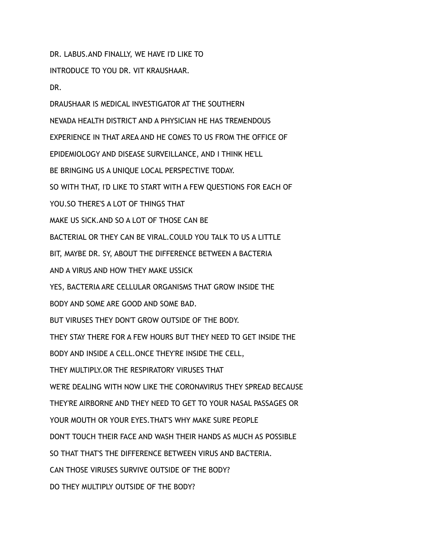DR. LABUS.AND FINALLY, WE HAVE I'D LIKE TO

INTRODUCE TO YOU DR. VIT KRAUSHAAR.

DR.

DRAUSHAAR IS MEDICAL INVESTIGATOR AT THE SOUTHERN NEVADA HEALTH DISTRICT AND A PHYSICIAN HE HAS TREMENDOUS EXPERIENCE IN THAT AREA AND HE COMES TO US FROM THE OFFICE OF EPIDEMIOLOGY AND DISEASE SURVEILLANCE, AND I THINK HE'LL BE BRINGING US A UNIQUE LOCAL PERSPECTIVE TODAY. SO WITH THAT, I'D LIKE TO START WITH A FEW QUESTIONS FOR EACH OF YOU.SO THERE'S A LOT OF THINGS THAT MAKE US SICK.AND SO A LOT OF THOSE CAN BE BACTERIAL OR THEY CAN BE VIRAL.COULD YOU TALK TO US A LITTLE BIT, MAYBE DR. SY, ABOUT THE DIFFERENCE BETWEEN A BACTERIA AND A VIRUS AND HOW THEY MAKE USSICK YES, BACTERIA ARE CELLULAR ORGANISMS THAT GROW INSIDE THE BODY AND SOME ARE GOOD AND SOME BAD. BUT VIRUSES THEY DON'T GROW OUTSIDE OF THE BODY. THEY STAY THERE FOR A FEW HOURS BUT THEY NEED TO GET INSIDE THE BODY AND INSIDE A CELL.ONCE THEY'RE INSIDE THE CELL, THEY MULTIPLY.OR THE RESPIRATORY VIRUSES THAT WE'RE DEALING WITH NOW LIKE THE CORONAVIRUS THEY SPREAD BECAUSE THEY'RE AIRBORNE AND THEY NEED TO GET TO YOUR NASAL PASSAGES OR YOUR MOUTH OR YOUR EYES.THAT'S WHY MAKE SURE PEOPLE DON'T TOUCH THEIR FACE AND WASH THEIR HANDS AS MUCH AS POSSIBLE SO THAT THAT'S THE DIFFERENCE BETWEEN VIRUS AND BACTERIA. CAN THOSE VIRUSES SURVIVE OUTSIDE OF THE BODY? DO THEY MULTIPLY OUTSIDE OF THE BODY?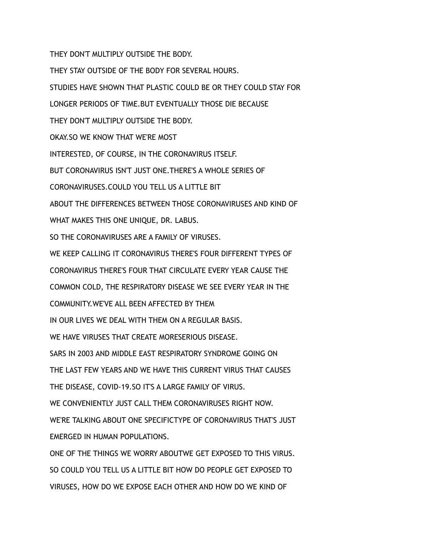THEY DON'T MULTIPLY OUTSIDE THE BODY.

THEY STAY OUTSIDE OF THE BODY FOR SEVERAL HOURS.

STUDIES HAVE SHOWN THAT PLASTIC COULD BE OR THEY COULD STAY FOR

LONGER PERIODS OF TIME.BUT EVENTUALLY THOSE DIE BECAUSE

THEY DON'T MULTIPLY OUTSIDE THE BODY.

OKAY.SO WE KNOW THAT WE'RE MOST

INTERESTED, OF COURSE, IN THE CORONAVIRUS ITSELF.

BUT CORONAVIRUS ISN'T JUST ONE.THERE'S A WHOLE SERIES OF

CORONAVIRUSES.COULD YOU TELL US A LITTLE BIT

ABOUT THE DIFFERENCES BETWEEN THOSE CORONAVIRUSES AND KIND OF

WHAT MAKES THIS ONE UNIQUE, DR. LABUS.

SO THE CORONAVIRUSES ARE A FAMILY OF VIRUSES.

WE KEEP CALLING IT CORONAVIRUS THERE'S FOUR DIFFERENT TYPES OF

CORONAVIRUS THERE'S FOUR THAT CIRCULATE EVERY YEAR CAUSE THE

COMMON COLD, THE RESPIRATORY DISEASE WE SEE EVERY YEAR IN THE

COMMUNITY.WE'VE ALL BEEN AFFECTED BY THEM

IN OUR LIVES WE DEAL WITH THEM ON A REGULAR BASIS.

WE HAVE VIRUSES THAT CREATE MORESERIOUS DISEASE.

SARS IN 2003 AND MIDDLE EAST RESPIRATORY SYNDROME GOING ON

THE LAST FEW YEARS AND WE HAVE THIS CURRENT VIRUS THAT CAUSES

THE DISEASE, COVID-19.SO IT'S A LARGE FAMILY OF VIRUS.

WE CONVENIENTLY JUST CALL THEM CORONAVIRUSES RIGHT NOW.

WE'RE TALKING ABOUT ONE SPECIFICTYPE OF CORONAVIRUS THAT'S JUST EMERGED IN HUMAN POPULATIONS.

ONE OF THE THINGS WE WORRY ABOUTWE GET EXPOSED TO THIS VIRUS. SO COULD YOU TELL US A LITTLE BIT HOW DO PEOPLE GET EXPOSED TO VIRUSES, HOW DO WE EXPOSE EACH OTHER AND HOW DO WE KIND OF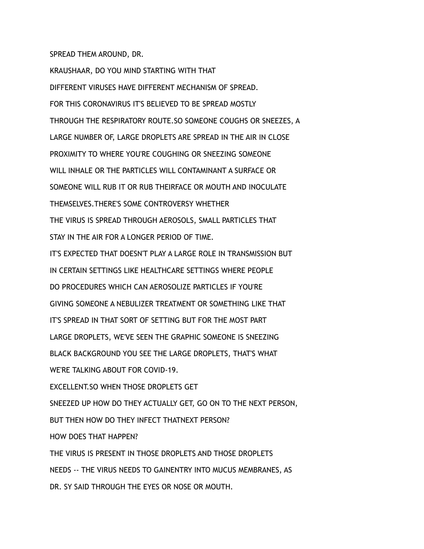## SPREAD THEM AROUND, DR.

KRAUSHAAR, DO YOU MIND STARTING WITH THAT DIFFERENT VIRUSES HAVE DIFFERENT MECHANISM OF SPREAD. FOR THIS CORONAVIRUS IT'S BELIEVED TO BE SPREAD MOSTLY THROUGH THE RESPIRATORY ROUTE.SO SOMEONE COUGHS OR SNEEZES, A LARGE NUMBER OF, LARGE DROPLETS ARE SPREAD IN THE AIR IN CLOSE PROXIMITY TO WHERE YOU'RE COUGHING OR SNEEZING SOMEONE WILL INHALE OR THE PARTICLES WILL CONTAMINANT A SURFACE OR SOMEONE WILL RUB IT OR RUB THEIRFACE OR MOUTH AND INOCULATE THEMSELVES.THERE'S SOME CONTROVERSY WHETHER THE VIRUS IS SPREAD THROUGH AEROSOLS, SMALL PARTICLES THAT STAY IN THE AIR FOR A LONGER PERIOD OF TIME. IT'S EXPECTED THAT DOESN'T PLAY A LARGE ROLE IN TRANSMISSION BUT IN CERTAIN SETTINGS LIKE HEALTHCARE SETTINGS WHERE PEOPLE DO PROCEDURES WHICH CAN AEROSOLIZE PARTICLES IF YOU'RE GIVING SOMEONE A NEBULIZER TREATMENT OR SOMETHING LIKE THAT IT'S SPREAD IN THAT SORT OF SETTING BUT FOR THE MOST PART LARGE DROPLETS, WE'VE SEEN THE GRAPHIC SOMEONE IS SNEEZING BLACK BACKGROUND YOU SEE THE LARGE DROPLETS, THAT'S WHAT WE'RE TALKING ABOUT FOR COVID-19. EXCELLENT.SO WHEN THOSE DROPLETS GET SNEEZED UP HOW DO THEY ACTUALLY GET, GO ON TO THE NEXT PERSON, BUT THEN HOW DO THEY INFECT THATNEXT PERSON? HOW DOES THAT HAPPEN? THE VIRUS IS PRESENT IN THOSE DROPLETS AND THOSE DROPLETS NEEDS -- THE VIRUS NEEDS TO GAINENTRY INTO MUCUS MEMBRANES, AS DR. SY SAID THROUGH THE EYES OR NOSE OR MOUTH.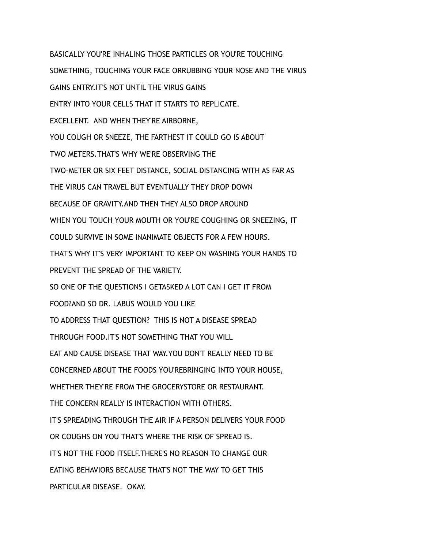BASICALLY YOU'RE INHALING THOSE PARTICLES OR YOU'RE TOUCHING SOMETHING, TOUCHING YOUR FACE ORRUBBING YOUR NOSE AND THE VIRUS GAINS ENTRY.IT'S NOT UNTIL THE VIRUS GAINS ENTRY INTO YOUR CELLS THAT IT STARTS TO REPLICATE. EXCELLENT. AND WHEN THEY'RE AIRBORNE, YOU COUGH OR SNEEZE, THE FARTHEST IT COULD GO IS ABOUT TWO METERS.THAT'S WHY WE'RE OBSERVING THE TWO-METER OR SIX FEET DISTANCE, SOCIAL DISTANCING WITH AS FAR AS THE VIRUS CAN TRAVEL BUT EVENTUALLY THEY DROP DOWN BECAUSE OF GRAVITY.AND THEN THEY ALSO DROP AROUND WHEN YOU TOUCH YOUR MOUTH OR YOU'RE COUGHING OR SNEEZING, IT COULD SURVIVE IN SOME INANIMATE OBJECTS FOR A FEW HOURS. THAT'S WHY IT'S VERY IMPORTANT TO KEEP ON WASHING YOUR HANDS TO PREVENT THE SPREAD OF THE VARIETY. SO ONE OF THE QUESTIONS I GETASKED A LOT CAN I GET IT FROM FOOD?AND SO DR. LABUS WOULD YOU LIKE TO ADDRESS THAT QUESTION? THIS IS NOT A DISEASE SPREAD THROUGH FOOD.IT'S NOT SOMETHING THAT YOU WILL EAT AND CAUSE DISEASE THAT WAY.YOU DON'T REALLY NEED TO BE CONCERNED ABOUT THE FOODS YOU'REBRINGING INTO YOUR HOUSE, WHETHER THEY'RE FROM THE GROCERYSTORE OR RESTAURANT. THE CONCERN REALLY IS INTERACTION WITH OTHERS. IT'S SPREADING THROUGH THE AIR IF A PERSON DELIVERS YOUR FOOD OR COUGHS ON YOU THAT'S WHERE THE RISK OF SPREAD IS. IT'S NOT THE FOOD ITSELF.THERE'S NO REASON TO CHANGE OUR EATING BEHAVIORS BECAUSE THAT'S NOT THE WAY TO GET THIS PARTICULAR DISEASE. OKAY.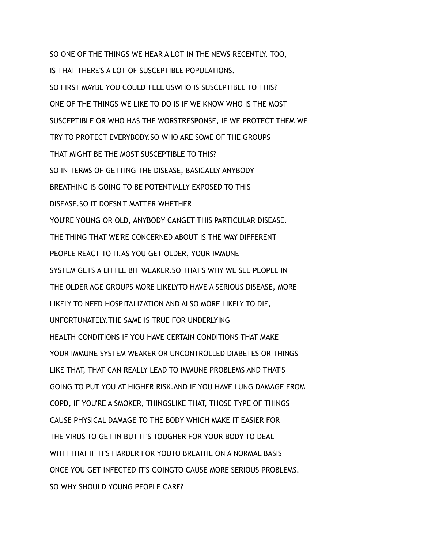SO ONE OF THE THINGS WE HEAR A LOT IN THE NEWS RECENTLY, TOO, IS THAT THERE'S A LOT OF SUSCEPTIBLE POPULATIONS. SO FIRST MAYBE YOU COULD TELL USWHO IS SUSCEPTIBLE TO THIS? ONE OF THE THINGS WE LIKE TO DO IS IF WE KNOW WHO IS THE MOST SUSCEPTIBLE OR WHO HAS THE WORSTRESPONSE, IF WE PROTECT THEM WE TRY TO PROTECT EVERYBODY.SO WHO ARE SOME OF THE GROUPS THAT MIGHT BE THE MOST SUSCEPTIBLE TO THIS? SO IN TERMS OF GETTING THE DISEASE, BASICALLY ANYBODY BREATHING IS GOING TO BE POTENTIALLY EXPOSED TO THIS DISEASE.SO IT DOESN'T MATTER WHETHER YOU'RE YOUNG OR OLD, ANYBODY CANGET THIS PARTICULAR DISEASE. THE THING THAT WE'RE CONCERNED ABOUT IS THE WAY DIFFERENT PEOPLE REACT TO IT.AS YOU GET OLDER, YOUR IMMUNE SYSTEM GETS A LITTLE BIT WEAKER.SO THAT'S WHY WE SEE PEOPLE IN THE OLDER AGE GROUPS MORE LIKELYTO HAVE A SERIOUS DISEASE, MORE LIKELY TO NEED HOSPITALIZATION AND ALSO MORE LIKELY TO DIE, UNFORTUNATELY.THE SAME IS TRUE FOR UNDERLYING HEALTH CONDITIONS IF YOU HAVE CERTAIN CONDITIONS THAT MAKE YOUR IMMUNE SYSTEM WEAKER OR UNCONTROLLED DIABETES OR THINGS LIKE THAT, THAT CAN REALLY LEAD TO IMMUNE PROBLEMS AND THAT'S GOING TO PUT YOU AT HIGHER RISK.AND IF YOU HAVE LUNG DAMAGE FROM COPD, IF YOU'RE A SMOKER, THINGSLIKE THAT, THOSE TYPE OF THINGS CAUSE PHYSICAL DAMAGE TO THE BODY WHICH MAKE IT EASIER FOR THE VIRUS TO GET IN BUT IT'S TOUGHER FOR YOUR BODY TO DEAL WITH THAT IF IT'S HARDER FOR YOUTO BREATHE ON A NORMAL BASIS ONCE YOU GET INFECTED IT'S GOINGTO CAUSE MORE SERIOUS PROBLEMS. SO WHY SHOULD YOUNG PEOPLE CARE?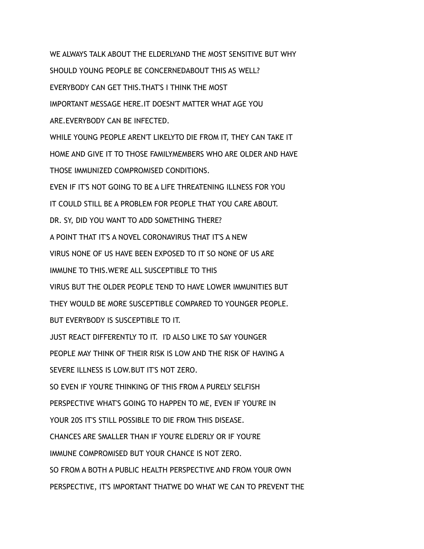WE ALWAYS TALK ABOUT THE ELDERLYAND THE MOST SENSITIVE BUT WHY SHOULD YOUNG PEOPLE BE CONCERNEDABOUT THIS AS WELL? EVERYBODY CAN GET THIS.THAT'S I THINK THE MOST IMPORTANT MESSAGE HERE.IT DOESN'T MATTER WHAT AGE YOU ARE.EVERYBODY CAN BE INFECTED. WHILE YOUNG PEOPLE AREN'T LIKELYTO DIE FROM IT, THEY CAN TAKE IT HOME AND GIVE IT TO THOSE FAMILYMEMBERS WHO ARE OLDER AND HAVE THOSE IMMUNIZED COMPROMISED CONDITIONS. EVEN IF IT'S NOT GOING TO BE A LIFE THREATENING ILLNESS FOR YOU IT COULD STILL BE A PROBLEM FOR PEOPLE THAT YOU CARE ABOUT. DR. SY, DID YOU WANT TO ADD SOMETHING THERE? A POINT THAT IT'S A NOVEL CORONAVIRUS THAT IT'S A NEW VIRUS NONE OF US HAVE BEEN EXPOSED TO IT SO NONE OF US ARE IMMUNE TO THIS.WE'RE ALL SUSCEPTIBLE TO THIS VIRUS BUT THE OLDER PEOPLE TEND TO HAVE LOWER IMMUNITIES BUT THEY WOULD BE MORE SUSCEPTIBLE COMPARED TO YOUNGER PEOPLE. BUT EVERYBODY IS SUSCEPTIBLE TO IT. JUST REACT DIFFERENTLY TO IT. I'D ALSO LIKE TO SAY YOUNGER PEOPLE MAY THINK OF THEIR RISK IS LOW AND THE RISK OF HAVING A SEVERE ILLNESS IS LOW.BUT IT'S NOT ZERO. SO EVEN IF YOU'RE THINKING OF THIS FROM A PURELY SELFISH PERSPECTIVE WHAT'S GOING TO HAPPEN TO ME, EVEN IF YOU'RE IN YOUR 20S IT'S STILL POSSIBLE TO DIE FROM THIS DISEASE. CHANCES ARE SMALLER THAN IF YOU'RE ELDERLY OR IF YOU'RE IMMUNE COMPROMISED BUT YOUR CHANCE IS NOT ZERO. SO FROM A BOTH A PUBLIC HEALTH PERSPECTIVE AND FROM YOUR OWN PERSPECTIVE, IT'S IMPORTANT THATWE DO WHAT WE CAN TO PREVENT THE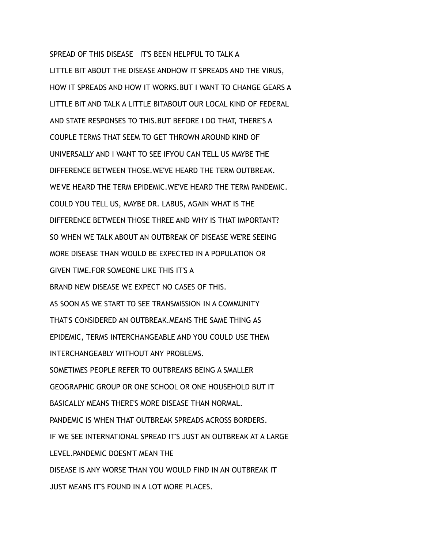SPREAD OF THIS DISEASE IT'S BEEN HELPFUL TO TALK A LITTLE BIT ABOUT THE DISEASE ANDHOW IT SPREADS AND THE VIRUS, HOW IT SPREADS AND HOW IT WORKS.BUT I WANT TO CHANGE GEARS A LITTLE BIT AND TALK A LITTLE BITABOUT OUR LOCAL KIND OF FEDERAL AND STATE RESPONSES TO THIS.BUT BEFORE I DO THAT, THERE'S A COUPLE TERMS THAT SEEM TO GET THROWN AROUND KIND OF UNIVERSALLY AND I WANT TO SEE IFYOU CAN TELL US MAYBE THE DIFFERENCE BETWEEN THOSE.WE'VE HEARD THE TERM OUTBREAK. WE'VE HEARD THE TERM EPIDEMIC.WE'VE HEARD THE TERM PANDEMIC. COULD YOU TELL US, MAYBE DR. LABUS, AGAIN WHAT IS THE DIFFERENCE BETWEEN THOSE THREE AND WHY IS THAT IMPORTANT? SO WHEN WE TALK ABOUT AN OUTBREAK OF DISEASE WE'RE SEEING MORE DISEASE THAN WOULD BE EXPECTED IN A POPULATION OR GIVEN TIME.FOR SOMEONE LIKE THIS IT'S A BRAND NEW DISEASE WE EXPECT NO CASES OF THIS. AS SOON AS WE START TO SEE TRANSMISSION IN A COMMUNITY THAT'S CONSIDERED AN OUTBREAK.MEANS THE SAME THING AS EPIDEMIC, TERMS INTERCHANGEABLE AND YOU COULD USE THEM INTERCHANGEABLY WITHOUT ANY PROBLEMS. SOMETIMES PEOPLE REFER TO OUTBREAKS BEING A SMALLER GEOGRAPHIC GROUP OR ONE SCHOOL OR ONE HOUSEHOLD BUT IT BASICALLY MEANS THERE'S MORE DISEASE THAN NORMAL. PANDEMIC IS WHEN THAT OUTBREAK SPREADS ACROSS BORDERS. IF WE SEE INTERNATIONAL SPREAD IT'S JUST AN OUTBREAK AT A LARGE LEVEL.PANDEMIC DOESN'T MEAN THE DISEASE IS ANY WORSE THAN YOU WOULD FIND IN AN OUTBREAK IT JUST MEANS IT'S FOUND IN A LOT MORE PLACES.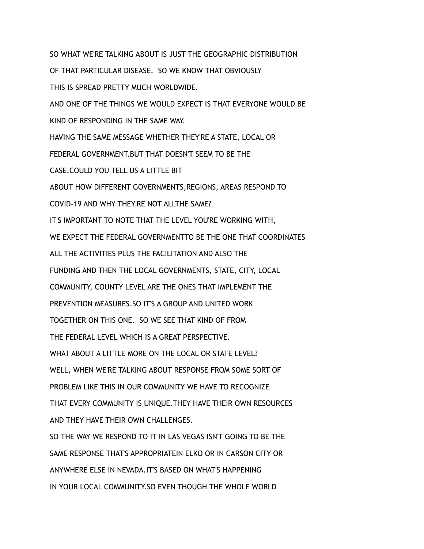SO WHAT WE'RE TALKING ABOUT IS JUST THE GEOGRAPHIC DISTRIBUTION OF THAT PARTICULAR DISEASE. SO WE KNOW THAT OBVIOUSLY THIS IS SPREAD PRETTY MUCH WORLDWIDE. AND ONE OF THE THINGS WE WOULD EXPECT IS THAT EVERYONE WOULD BE KIND OF RESPONDING IN THE SAME WAY. HAVING THE SAME MESSAGE WHETHER THEY'RE A STATE, LOCAL OR FEDERAL GOVERNMENT.BUT THAT DOESN'T SEEM TO BE THE CASE.COULD YOU TELL US A LITTLE BIT ABOUT HOW DIFFERENT GOVERNMENTS,REGIONS, AREAS RESPOND TO COVID-19 AND WHY THEY'RE NOT ALLTHE SAME? IT'S IMPORTANT TO NOTE THAT THE LEVEL YOU'RE WORKING WITH, WE EXPECT THE FEDERAL GOVERNMENTTO BE THE ONE THAT COORDINATES ALL THE ACTIVITIES PLUS THE FACILITATION AND ALSO THE FUNDING AND THEN THE LOCAL GOVERNMENTS, STATE, CITY, LOCAL COMMUNITY, COUNTY LEVEL ARE THE ONES THAT IMPLEMENT THE PREVENTION MEASURES.SO IT'S A GROUP AND UNITED WORK TOGETHER ON THIS ONE. SO WE SEE THAT KIND OF FROM THE FEDERAL LEVEL WHICH IS A GREAT PERSPECTIVE. WHAT ABOUT A LITTLE MORE ON THE LOCAL OR STATE LEVEL? WELL, WHEN WE'RE TALKING ABOUT RESPONSE FROM SOME SORT OF PROBLEM LIKE THIS IN OUR COMMUNITY WE HAVE TO RECOGNIZE THAT EVERY COMMUNITY IS UNIQUE.THEY HAVE THEIR OWN RESOURCES AND THEY HAVE THEIR OWN CHALLENGES. SO THE WAY WE RESPOND TO IT IN LAS VEGAS ISN'T GOING TO BE THE SAME RESPONSE THAT'S APPROPRIATEIN ELKO OR IN CARSON CITY OR ANYWHERE ELSE IN NEVADA.IT'S BASED ON WHAT'S HAPPENING

IN YOUR LOCAL COMMUNITY.SO EVEN THOUGH THE WHOLE WORLD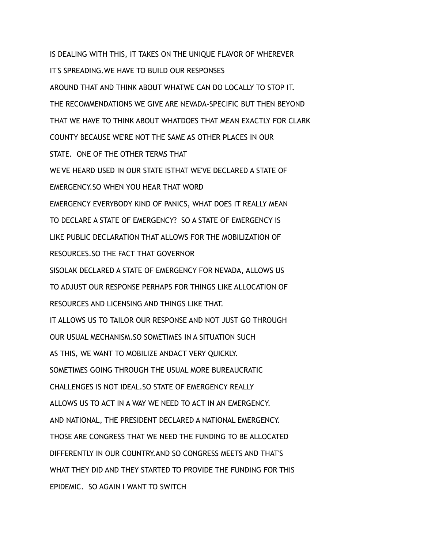IS DEALING WITH THIS, IT TAKES ON THE UNIQUE FLAVOR OF WHEREVER IT'S SPREADING.WE HAVE TO BUILD OUR RESPONSES AROUND THAT AND THINK ABOUT WHATWE CAN DO LOCALLY TO STOP IT. THE RECOMMENDATIONS WE GIVE ARE NEVADA-SPECIFIC BUT THEN BEYOND THAT WE HAVE TO THINK ABOUT WHATDOES THAT MEAN EXACTLY FOR CLARK COUNTY BECAUSE WE'RE NOT THE SAME AS OTHER PLACES IN OUR STATE. ONE OF THE OTHER TERMS THAT WE'VE HEARD USED IN OUR STATE ISTHAT WE'VE DECLARED A STATE OF EMERGENCY.SO WHEN YOU HEAR THAT WORD EMERGENCY EVERYBODY KIND OF PANICS, WHAT DOES IT REALLY MEAN TO DECLARE A STATE OF EMERGENCY? SO A STATE OF EMERGENCY IS LIKE PUBLIC DECLARATION THAT ALLOWS FOR THE MOBILIZATION OF RESOURCES.SO THE FACT THAT GOVERNOR SISOLAK DECLARED A STATE OF EMERGENCY FOR NEVADA, ALLOWS US TO ADJUST OUR RESPONSE PERHAPS FOR THINGS LIKE ALLOCATION OF RESOURCES AND LICENSING AND THINGS LIKE THAT. IT ALLOWS US TO TAILOR OUR RESPONSE AND NOT JUST GO THROUGH OUR USUAL MECHANISM.SO SOMETIMES IN A SITUATION SUCH AS THIS, WE WANT TO MOBILIZE ANDACT VERY QUICKLY. SOMETIMES GOING THROUGH THE USUAL MORE BUREAUCRATIC CHALLENGES IS NOT IDEAL.SO STATE OF EMERGENCY REALLY ALLOWS US TO ACT IN A WAY WE NEED TO ACT IN AN EMERGENCY. AND NATIONAL, THE PRESIDENT DECLARED A NATIONAL EMERGENCY. THOSE ARE CONGRESS THAT WE NEED THE FUNDING TO BE ALLOCATED DIFFERENTLY IN OUR COUNTRY.AND SO CONGRESS MEETS AND THAT'S WHAT THEY DID AND THEY STARTED TO PROVIDE THE FUNDING FOR THIS EPIDEMIC. SO AGAIN I WANT TO SWITCH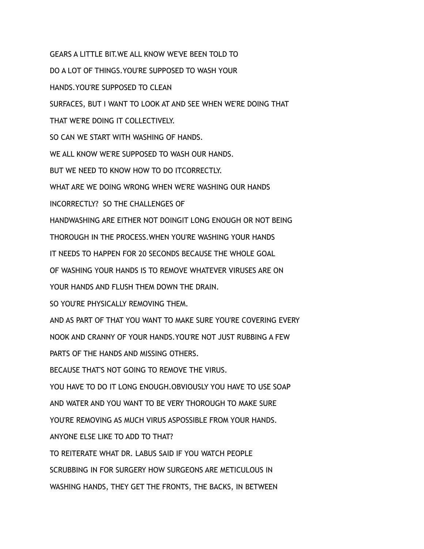GEARS A LITTLE BIT.WE ALL KNOW WE'VE BEEN TOLD TO DO A LOT OF THINGS.YOU'RE SUPPOSED TO WASH YOUR HANDS.YOU'RE SUPPOSED TO CLEAN SURFACES, BUT I WANT TO LOOK AT AND SEE WHEN WE'RE DOING THAT THAT WE'RE DOING IT COLLECTIVELY. SO CAN WE START WITH WASHING OF HANDS. WE ALL KNOW WE'RE SUPPOSED TO WASH OUR HANDS. BUT WE NEED TO KNOW HOW TO DO ITCORRECTLY. WHAT ARE WE DOING WRONG WHEN WE'RE WASHING OUR HANDS INCORRECTLY? SO THE CHALLENGES OF HANDWASHING ARE EITHER NOT DOINGIT LONG ENOUGH OR NOT BEING THOROUGH IN THE PROCESS.WHEN YOU'RE WASHING YOUR HANDS IT NEEDS TO HAPPEN FOR 20 SECONDS BECAUSE THE WHOLE GOAL OF WASHING YOUR HANDS IS TO REMOVE WHATEVER VIRUSES ARE ON YOUR HANDS AND FLUSH THEM DOWN THE DRAIN. SO YOU'RE PHYSICALLY REMOVING THEM. AND AS PART OF THAT YOU WANT TO MAKE SURE YOU'RE COVERING EVERY NOOK AND CRANNY OF YOUR HANDS.YOU'RE NOT JUST RUBBING A FEW PARTS OF THE HANDS AND MISSING OTHERS. BECAUSE THAT'S NOT GOING TO REMOVE THE VIRUS. YOU HAVE TO DO IT LONG ENOUGH.OBVIOUSLY YOU HAVE TO USE SOAP AND WATER AND YOU WANT TO BE VERY THOROUGH TO MAKE SURE YOU'RE REMOVING AS MUCH VIRUS ASPOSSIBLE FROM YOUR HANDS. ANYONE ELSE LIKE TO ADD TO THAT? TO REITERATE WHAT DR. LABUS SAID IF YOU WATCH PEOPLE SCRUBBING IN FOR SURGERY HOW SURGEONS ARE METICULOUS IN WASHING HANDS, THEY GET THE FRONTS, THE BACKS, IN BETWEEN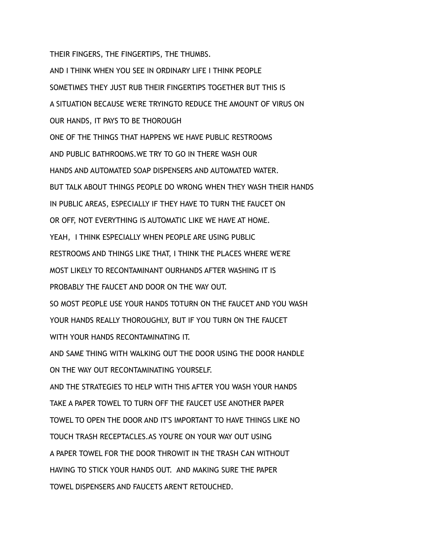THEIR FINGERS, THE FINGERTIPS, THE THUMBS.

AND I THINK WHEN YOU SEE IN ORDINARY LIFE I THINK PEOPLE SOMETIMES THEY JUST RUB THEIR FINGERTIPS TOGETHER BUT THIS IS A SITUATION BECAUSE WE'RE TRYINGTO REDUCE THE AMOUNT OF VIRUS ON OUR HANDS, IT PAYS TO BE THOROUGH ONE OF THE THINGS THAT HAPPENS WE HAVE PUBLIC RESTROOMS AND PUBLIC BATHROOMS.WE TRY TO GO IN THERE WASH OUR HANDS AND AUTOMATED SOAP DISPENSERS AND AUTOMATED WATER. BUT TALK ABOUT THINGS PEOPLE DO WRONG WHEN THEY WASH THEIR HANDS IN PUBLIC AREAS, ESPECIALLY IF THEY HAVE TO TURN THE FAUCET ON OR OFF, NOT EVERYTHING IS AUTOMATIC LIKE WE HAVE AT HOME. YEAH, I THINK ESPECIALLY WHEN PEOPLE ARE USING PUBLIC RESTROOMS AND THINGS LIKE THAT, I THINK THE PLACES WHERE WE'RE MOST LIKELY TO RECONTAMINANT OURHANDS AFTER WASHING IT IS PROBABLY THE FAUCET AND DOOR ON THE WAY OUT. SO MOST PEOPLE USE YOUR HANDS TOTURN ON THE FAUCET AND YOU WASH YOUR HANDS REALLY THOROUGHLY, BUT IF YOU TURN ON THE FAUCET WITH YOUR HANDS RECONTAMINATING IT. AND SAME THING WITH WALKING OUT THE DOOR USING THE DOOR HANDLE ON THE WAY OUT RECONTAMINATING YOURSELF. AND THE STRATEGIES TO HELP WITH THIS AFTER YOU WASH YOUR HANDS TAKE A PAPER TOWEL TO TURN OFF THE FAUCET USE ANOTHER PAPER TOWEL TO OPEN THE DOOR AND IT'S IMPORTANT TO HAVE THINGS LIKE NO TOUCH TRASH RECEPTACLES.AS YOU'RE ON YOUR WAY OUT USING A PAPER TOWEL FOR THE DOOR THROWIT IN THE TRASH CAN WITHOUT HAVING TO STICK YOUR HANDS OUT. AND MAKING SURE THE PAPER TOWEL DISPENSERS AND FAUCETS AREN'T RETOUCHED.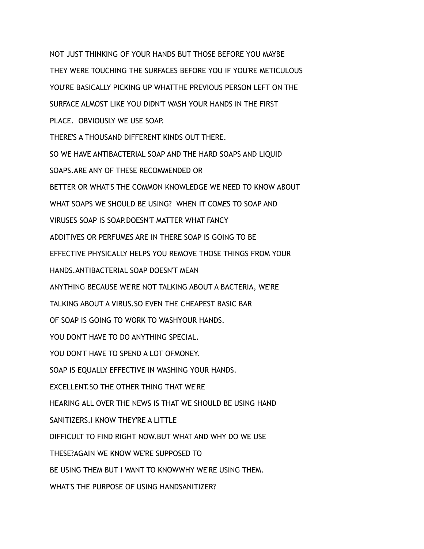NOT JUST THINKING OF YOUR HANDS BUT THOSE BEFORE YOU MAYBE THEY WERE TOUCHING THE SURFACES BEFORE YOU IF YOU'RE METICULOUS YOU'RE BASICALLY PICKING UP WHATTHE PREVIOUS PERSON LEFT ON THE SURFACE ALMOST LIKE YOU DIDN'T WASH YOUR HANDS IN THE FIRST PLACE. OBVIOUSLY WE USE SOAP. THERE'S A THOUSAND DIFFERENT KINDS OUT THERE. SO WE HAVE ANTIBACTERIAL SOAP AND THE HARD SOAPS AND LIQUID SOAPS.ARE ANY OF THESE RECOMMENDED OR BETTER OR WHAT'S THE COMMON KNOWLEDGE WE NEED TO KNOW ABOUT WHAT SOAPS WE SHOULD BE USING? WHEN IT COMES TO SOAP AND VIRUSES SOAP IS SOAP.DOESN'T MATTER WHAT FANCY ADDITIVES OR PERFUMES ARE IN THERE SOAP IS GOING TO BE EFFECTIVE PHYSICALLY HELPS YOU REMOVE THOSE THINGS FROM YOUR HANDS.ANTIBACTERIAL SOAP DOESN'T MEAN ANYTHING BECAUSE WE'RE NOT TALKING ABOUT A BACTERIA, WE'RE TALKING ABOUT A VIRUS.SO EVEN THE CHEAPEST BASIC BAR OF SOAP IS GOING TO WORK TO WASHYOUR HANDS. YOU DON'T HAVE TO DO ANYTHING SPECIAL. YOU DON'T HAVE TO SPEND A LOT OFMONEY. SOAP IS EQUALLY EFFECTIVE IN WASHING YOUR HANDS. EXCELLENT.SO THE OTHER THING THAT WE'RE HEARING ALL OVER THE NEWS IS THAT WE SHOULD BE USING HAND SANITIZERS.I KNOW THEY'RE A LITTLE DIFFICULT TO FIND RIGHT NOW.BUT WHAT AND WHY DO WE USE THESE?AGAIN WE KNOW WE'RE SUPPOSED TO BE USING THEM BUT I WANT TO KNOWWHY WE'RE USING THEM. WHAT'S THE PURPOSE OF USING HANDSANITIZER?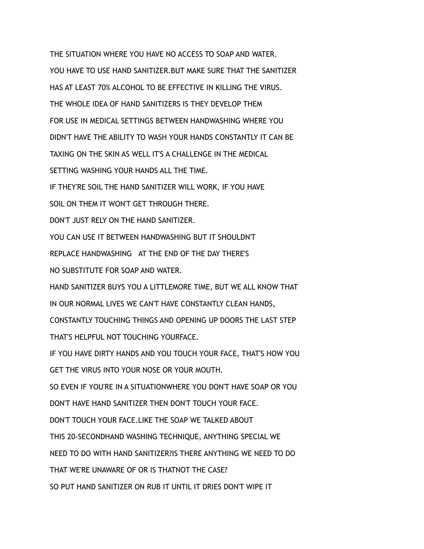THE SITUATION WHERE YOU HAVE NO ACCESS TO SOAP AND WATER. YOU HAVE TO USE HAND SANITIZER.BUT MAKE SURE THAT THE SANITIZER HAS AT LEAST 70% ALCOHOL TO BE EFFECTIVE IN KILLING THE VIRUS. THE WHOLE IDEA OF HAND SANITIZERS IS THEY DEVELOP THEM FOR USE IN MEDICAL SETTINGS BETWEEN HANDWASHING WHERE YOU DIDN'T HAVE THE ABILITY TO WASH YOUR HANDS CONSTANTLY IT CAN BE TAXING ON THE SKIN AS WELL IT'S A CHALLENGE IN THE MEDICAL SETTING WASHING YOUR HANDS ALL THE TIME. IF THEY'RE SOIL THE HAND SANITIZER WILL WORK, IF YOU HAVE SOIL ON THEM IT WON'T GET THROUGH THERE. DON'T JUST RELY ON THE HAND SANITIZER. YOU CAN USE IT BETWEEN HANDWASHING BUT IT SHOULDN'T REPLACE HANDWASHING AT THE END OF THE DAY THERE'S NO SUBSTITUTE FOR SOAP AND WATER. HAND SANITIZER BUYS YOU A LITTLEMORE TIME, BUT WE ALL KNOW THAT IN OUR NORMAL LIVES WE CAN'T HAVE CONSTANTLY CLEAN HANDS, CONSTANTLY TOUCHING THINGS AND OPENING UP DOORS THE LAST STEP THAT'S HELPFUL NOT TOUCHING YOURFACE. IF YOU HAVE DIRTY HANDS AND YOU TOUCH YOUR FACE, THAT'S HOW YOU GET THE VIRUS INTO YOUR NOSE OR YOUR MOUTH. SO EVEN IF YOU'RE IN A SITUATIONWHERE YOU DON'T HAVE SOAP OR YOU DON'T HAVE HAND SANITIZER THEN DON'T TOUCH YOUR FACE. DON'T TOUCH YOUR FACE.LIKE THE SOAP WE TALKED ABOUT THIS 20-SECONDHAND WASHING TECHNIQUE, ANYTHING SPECIAL WE NEED TO DO WITH HAND SANITIZER?IS THERE ANYTHING WE NEED TO DO THAT WE'RE UNAWARE OF OR IS THATNOT THE CASE? SO PUT HAND SANITIZER ON RUB IT UNTIL IT DRIES DON'T WIPE IT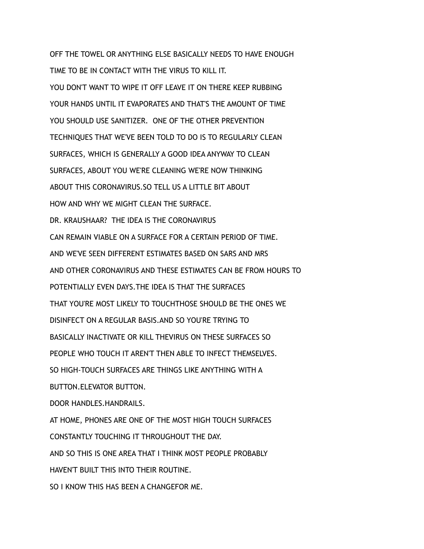OFF THE TOWEL OR ANYTHING ELSE BASICALLY NEEDS TO HAVE ENOUGH TIME TO BE IN CONTACT WITH THE VIRUS TO KILL IT. YOU DON'T WANT TO WIPE IT OFF LEAVE IT ON THERE KEEP RUBBING YOUR HANDS UNTIL IT EVAPORATES AND THAT'S THE AMOUNT OF TIME YOU SHOULD USE SANITIZER. ONE OF THE OTHER PREVENTION TECHNIQUES THAT WE'VE BEEN TOLD TO DO IS TO REGULARLY CLEAN SURFACES, WHICH IS GENERALLY A GOOD IDEA ANYWAY TO CLEAN SURFACES, ABOUT YOU WE'RE CLEANING WE'RE NOW THINKING ABOUT THIS CORONAVIRUS.SO TELL US A LITTLE BIT ABOUT HOW AND WHY WE MIGHT CLEAN THE SURFACE. DR. KRAUSHAAR? THE IDEA IS THE CORONAVIRUS CAN REMAIN VIABLE ON A SURFACE FOR A CERTAIN PERIOD OF TIME. AND WE'VE SEEN DIFFERENT ESTIMATES BASED ON SARS AND MRS AND OTHER CORONAVIRUS AND THESE ESTIMATES CAN BE FROM HOURS TO POTENTIALLY EVEN DAYS.THE IDEA IS THAT THE SURFACES THAT YOU'RE MOST LIKELY TO TOUCHTHOSE SHOULD BE THE ONES WE DISINFECT ON A REGULAR BASIS.AND SO YOU'RE TRYING TO BASICALLY INACTIVATE OR KILL THEVIRUS ON THESE SURFACES SO PEOPLE WHO TOUCH IT AREN'T THEN ABLE TO INFECT THEMSELVES. SO HIGH-TOUCH SURFACES ARE THINGS LIKE ANYTHING WITH A BUTTON.ELEVATOR BUTTON. DOOR HANDLES.HANDRAILS. AT HOME, PHONES ARE ONE OF THE MOST HIGH TOUCH SURFACES CONSTANTLY TOUCHING IT THROUGHOUT THE DAY. AND SO THIS IS ONE AREA THAT I THINK MOST PEOPLE PROBABLY HAVEN'T BUILT THIS INTO THEIR ROUTINE. SO I KNOW THIS HAS BEEN A CHANGEFOR ME.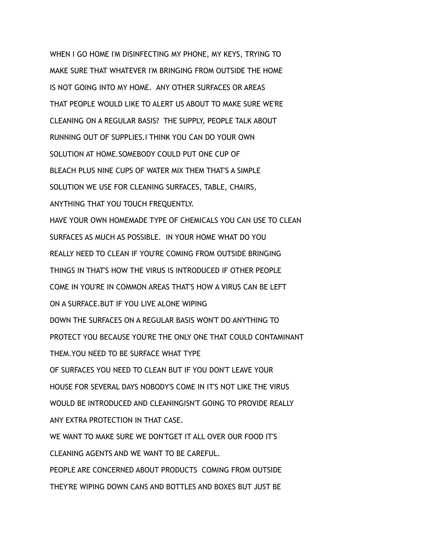WHEN I GO HOME I'M DISINFECTING MY PHONE, MY KEYS, TRYING TO MAKE SURE THAT WHATEVER I'M BRINGING FROM OUTSIDE THE HOME IS NOT GOING INTO MY HOME. ANY OTHER SURFACES OR AREAS THAT PEOPLE WOULD LIKE TO ALERT US ABOUT TO MAKE SURE WE'RE CLEANING ON A REGULAR BASIS? THE SUPPLY, PEOPLE TALK ABOUT RUNNING OUT OF SUPPLIES.I THINK YOU CAN DO YOUR OWN SOLUTION AT HOME. SOMEBODY COULD PUT ONE CUP OF BLEACH PLUS NINE CUPS OF WATER MIX THEM THAT'S A SIMPLE SOLUTION WE USE FOR CLEANING SURFACES, TABLE, CHAIRS, ANYTHING THAT YOU TOUCH FREQUENTLY. HAVE YOUR OWN HOMEMADE TYPE OF CHEMICALS YOU CAN USE TO CLEAN SURFACES AS MUCH AS POSSIBLE. IN YOUR HOME WHAT DO YOU REALLY NEED TO CLEAN IF YOU'RE COMING FROM OUTSIDE BRINGING THINGS IN THAT'S HOW THE VIRUS IS INTRODUCED IF OTHER PEOPLE COME IN YOU'RE IN COMMON AREAS THAT'S HOW A VIRUS CAN BE LEFT ON A SURFACE.BUT IF YOU LIVE ALONE WIPING DOWN THE SURFACES ON A REGULAR BASIS WON'T DO ANYTHING TO PROTECT YOU BECAUSE YOU'RE THE ONLY ONE THAT COULD CONTAMINANT THEM.YOU NEED TO BE SURFACE WHAT TYPE OF SURFACES YOU NEED TO CLEAN BUT IF YOU DON'T LEAVE YOUR HOUSE FOR SEVERAL DAYS NOBODY'S COME IN IT'S NOT LIKE THE VIRUS WOULD BE INTRODUCED AND CLEANINGISN'T GOING TO PROVIDE REALLY ANY EXTRA PROTECTION IN THAT CASE. WE WANT TO MAKE SURE WE DON'TGET IT ALL OVER OUR FOOD IT'S CLEANING AGENTS AND WE WANT TO BE CAREFUL. PEOPLE ARE CONCERNED ABOUT PRODUCTS COMING FROM OUTSIDE

THEY'RE WIPING DOWN CANS AND BOTTLES AND BOXES BUT JUST BE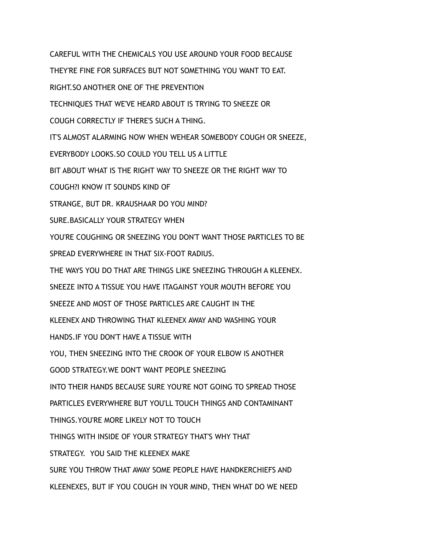CAREFUL WITH THE CHEMICALS YOU USE AROUND YOUR FOOD BECAUSE THEY'RE FINE FOR SURFACES BUT NOT SOMETHING YOU WANT TO EAT. RIGHT.SO ANOTHER ONE OF THE PREVENTION TECHNIQUES THAT WE'VE HEARD ABOUT IS TRYING TO SNEEZE OR COUGH CORRECTLY IF THERE'S SUCH A THING. IT'S ALMOST ALARMING NOW WHEN WEHEAR SOMEBODY COUGH OR SNEEZE, EVERYBODY LOOKS.SO COULD YOU TELL US A LITTLE BIT ABOUT WHAT IS THE RIGHT WAY TO SNEEZE OR THE RIGHT WAY TO COUGH?I KNOW IT SOUNDS KIND OF STRANGE, BUT DR. KRAUSHAAR DO YOU MIND? SURE.BASICALLY YOUR STRATEGY WHEN YOU'RE COUGHING OR SNEEZING YOU DON'T WANT THOSE PARTICLES TO BE SPREAD EVERYWHERE IN THAT SIX-FOOT RADIUS. THE WAYS YOU DO THAT ARE THINGS LIKE SNEEZING THROUGH A KLEENEX. SNEEZE INTO A TISSUE YOU HAVE ITAGAINST YOUR MOUTH BEFORE YOU SNEEZE AND MOST OF THOSE PARTICLES ARE CAUGHT IN THE KLEENEX AND THROWING THAT KLEENEX AWAY AND WASHING YOUR HANDS.IF YOU DON'T HAVE A TISSUE WITH YOU, THEN SNEEZING INTO THE CROOK OF YOUR ELBOW IS ANOTHER GOOD STRATEGY.WE DON'T WANT PEOPLE SNEEZING INTO THEIR HANDS BECAUSE SURE YOU'RE NOT GOING TO SPREAD THOSE PARTICLES EVERYWHERE BUT YOU'LL TOUCH THINGS AND CONTAMINANT THINGS.YOU'RE MORE LIKELY NOT TO TOUCH THINGS WITH INSIDE OF YOUR STRATEGY THAT'S WHY THAT STRATEGY. YOU SAID THE KLEENEX MAKE SURE YOU THROW THAT AWAY SOME PEOPLE HAVE HANDKERCHIEFS AND KLEENEXES, BUT IF YOU COUGH IN YOUR MIND, THEN WHAT DO WE NEED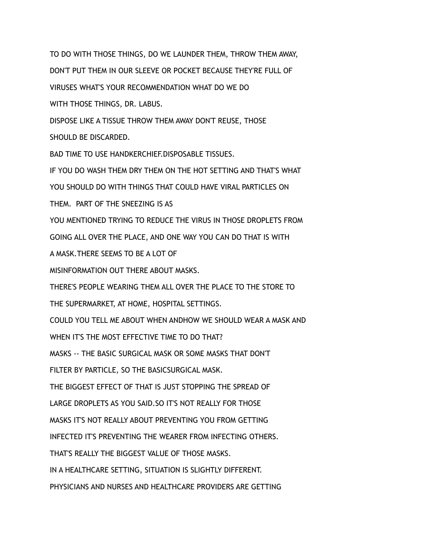TO DO WITH THOSE THINGS, DO WE LAUNDER THEM, THROW THEM AWAY, DON'T PUT THEM IN OUR SLEEVE OR POCKET BECAUSE THEY'RE FULL OF VIRUSES WHAT'S YOUR RECOMMENDATION WHAT DO WE DO WITH THOSE THINGS, DR. LABUS. DISPOSE LIKE A TISSUE THROW THEM AWAY DON'T REUSE, THOSE SHOULD BE DISCARDED. BAD TIME TO USE HANDKERCHIEF DISPOSABLE TISSUES. IF YOU DO WASH THEM DRY THEM ON THE HOT SETTING AND THAT'S WHAT YOU SHOULD DO WITH THINGS THAT COULD HAVE VIRAL PARTICLES ON THEM. PART OF THE SNEEZING IS AS YOU MENTIONED TRYING TO REDUCE THE VIRUS IN THOSE DROPLETS FROM GOING ALL OVER THE PLACE, AND ONE WAY YOU CAN DO THAT IS WITH A MASK.THERE SEEMS TO BE A LOT OF MISINFORMATION OUT THERE ABOUT MASKS. THERE'S PEOPLE WEARING THEM ALL OVER THE PLACE TO THE STORE TO THE SUPERMARKET, AT HOME, HOSPITAL SETTINGS. COULD YOU TELL ME ABOUT WHEN ANDHOW WE SHOULD WEAR A MASK AND WHEN IT'S THE MOST FFFECTIVE TIME TO DO THAT? MASKS -- THE BASIC SURGICAL MASK OR SOME MASKS THAT DON'T FILTER BY PARTICLE, SO THE BASICSURGICAL MASK. THE BIGGEST EFFECT OF THAT IS JUST STOPPING THE SPREAD OF LARGE DROPLETS AS YOU SAID.SO IT'S NOT REALLY FOR THOSE MASKS IT'S NOT REALLY ABOUT PREVENTING YOU FROM GETTING INFECTED IT'S PREVENTING THE WEARER FROM INFECTING OTHERS. THAT'S REALLY THE BIGGEST VALUE OF THOSE MASKS. IN A HEALTHCARE SETTING, SITUATION IS SLIGHTLY DIFFERENT. PHYSICIANS AND NURSES AND HEALTHCARE PROVIDERS ARE GETTING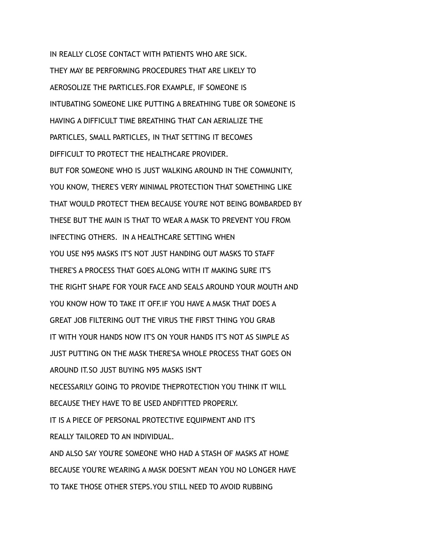IN REALLY CLOSE CONTACT WITH PATIENTS WHO ARE SICK. THEY MAY BE PERFORMING PROCEDURES THAT ARE LIKELY TO AEROSOLIZE THE PARTICLES.FOR EXAMPLE, IF SOMEONE IS INTUBATING SOMEONE LIKE PUTTING A BREATHING TUBE OR SOMEONE IS HAVING A DIFFICULT TIME BREATHING THAT CAN AERIALIZE THE PARTICLES, SMALL PARTICLES, IN THAT SETTING IT BECOMES DIFFICULT TO PROTECT THE HEALTHCARE PROVIDER. BUT FOR SOMEONE WHO IS JUST WALKING AROUND IN THE COMMUNITY, YOU KNOW, THERE'S VERY MINIMAL PROTECTION THAT SOMETHING LIKE THAT WOULD PROTECT THEM BECAUSE YOU'RE NOT BEING BOMBARDED BY THESE BUT THE MAIN IS THAT TO WEAR A MASK TO PREVENT YOU FROM INFECTING OTHERS. IN A HEALTHCARE SETTING WHEN YOU USE N95 MASKS IT'S NOT JUST HANDING OUT MASKS TO STAFF THERE'S A PROCESS THAT GOES ALONG WITH IT MAKING SURE IT'S THE RIGHT SHAPE FOR YOUR FACE AND SEALS AROUND YOUR MOUTH AND YOU KNOW HOW TO TAKE IT OFF.IF YOU HAVE A MASK THAT DOES A GREAT JOB FILTERING OUT THE VIRUS THE FIRST THING YOU GRAB IT WITH YOUR HANDS NOW IT'S ON YOUR HANDS IT'S NOT AS SIMPLE AS JUST PUTTING ON THE MASK THERE'SA WHOLE PROCESS THAT GOES ON AROUND IT.SO JUST BUYING N95 MASKS ISN'T NECESSARILY GOING TO PROVIDE THEPROTECTION YOU THINK IT WILL BECAUSE THEY HAVE TO BE USED ANDFITTED PROPERLY. IT IS A PIECE OF PERSONAL PROTECTIVE EQUIPMENT AND IT'S REALLY TAILORED TO AN INDIVIDUAL. AND ALSO SAY YOU'RE SOMEONE WHO HAD A STASH OF MASKS AT HOME BECAUSE YOU'RE WEARING A MASK DOESN'T MEAN YOU NO LONGER HAVE TO TAKE THOSE OTHER STEPS.YOU STILL NEED TO AVOID RUBBING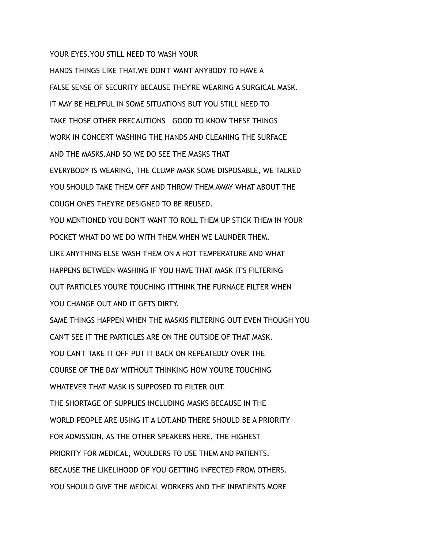## YOUR EYES. YOU STILL NEED TO WASH YOUR

HANDS THINGS LIKE THAT.WE DON'T WANT ANYBODY TO HAVE A FALSE SENSE OF SECURITY BECAUSE THEY'RE WEARING A SURGICAL MASK. IT MAY BE HELPFUL IN SOME SITUATIONS BUT YOU STILL NEED TO TAKE THOSE OTHER PRECAUTIONS GOOD TO KNOW THESE THINGS WORK IN CONCERT WASHING THE HANDS AND CLEANING THE SURFACE AND THE MASKS.AND SO WE DO SEE THE MASKS THAT EVERYBODY IS WEARING, THE CLUMP MASK SOME DISPOSABLE, WE TALKED YOU SHOULD TAKE THEM OFF AND THROW THEM AWAY WHAT ABOUT THE COUGH ONES THEY'RE DESIGNED TO BE REUSED. YOU MENTIONED YOU DON'T WANT TO ROLL THEM UP STICK THEM IN YOUR POCKET WHAT DO WE DO WITH THEM WHEN WE LAUNDER THEM. LIKE ANYTHING ELSE WASH THEM ON A HOT TEMPERATURE AND WHAT HAPPENS BETWEEN WASHING IF YOU HAVE THAT MASK IT'S FILTERING OUT PARTICLES YOU'RE TOUCHING ITTHINK THE FURNACE FILTER WHEN YOU CHANGE OUT AND IT GETS DIRTY. SAME THINGS HAPPEN WHEN THE MASKIS FILTERING OUT EVEN THOUGH YOU CAN'T SEE IT THE PARTICLES ARE ON THE OUTSIDE OF THAT MASK. YOU CAN'T TAKE IT OFF PUT IT BACK ON REPEATEDLY OVER THE COURSE OF THE DAY WITHOUT THINKING HOW YOU'RE TOUCHING WHATEVER THAT MASK IS SUPPOSED TO FILTER OUT. THE SHORTAGE OF SUPPLIES INCLUDING MASKS BECAUSE IN THE WORLD PEOPLE ARE USING IT A LOT.AND THERE SHOULD BE A PRIORITY FOR ADMISSION, AS THE OTHER SPEAKERS HERE, THE HIGHEST PRIORITY FOR MEDICAL, WOULDERS TO USE THEM AND PATIENTS. BECAUSE THE LIKELIHOOD OF YOU GETTING INFECTED FROM OTHERS. YOU SHOULD GIVE THE MEDICAL WORKERS AND THE INPATIENTS MORE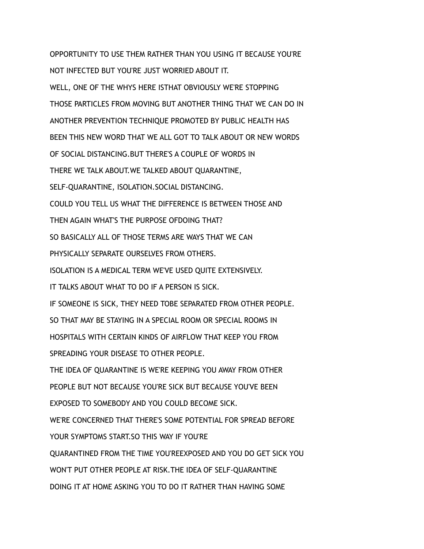OPPORTUNITY TO USE THEM RATHER THAN YOU USING IT BECAUSE YOU'RE NOT INFECTED BUT YOU'RE JUST WORRIED ABOUT IT. WELL, ONE OF THE WHYS HERE ISTHAT OBVIOUSLY WE'RE STOPPING THOSE PARTICLES FROM MOVING BUT ANOTHER THING THAT WE CAN DO IN ANOTHER PREVENTION TECHNIQUE PROMOTED BY PUBLIC HEALTH HAS BEEN THIS NEW WORD THAT WE ALL GOT TO TALK ABOUT OR NEW WORDS OF SOCIAL DISTANCING.BUT THERE'S A COUPLE OF WORDS IN THERE WE TALK ABOUT.WE TALKED ABOUT QUARANTINE, SELF-QUARANTINE, ISOLATION.SOCIAL DISTANCING. COULD YOU TELL US WHAT THE DIFFERENCE IS BETWEEN THOSE AND THEN AGAIN WHAT'S THE PURPOSE OFDOING THAT? SO BASICALLY ALL OF THOSE TERMS ARE WAYS THAT WE CAN PHYSICALLY SEPARATE OURSELVES FROM OTHERS. ISOLATION IS A MEDICAL TERM WE'VE USED QUITE EXTENSIVELY. IT TALKS ABOUT WHAT TO DO IF A PERSON IS SICK. IF SOMEONE IS SICK, THEY NEED TOBE SEPARATED FROM OTHER PEOPLE. SO THAT MAY BE STAYING IN A SPECIAL ROOM OR SPECIAL ROOMS IN HOSPITALS WITH CERTAIN KINDS OF AIRFLOW THAT KEEP YOU FROM SPREADING YOUR DISEASE TO OTHER PEOPLE. THE IDEA OF QUARANTINE IS WE'RE KEEPING YOU AWAY FROM OTHER PEOPLE BUT NOT BECAUSE YOU'RE SICK BUT BECAUSE YOU'VE BEEN EXPOSED TO SOMEBODY AND YOU COULD BECOME SICK. WE'RE CONCERNED THAT THERE'S SOME POTENTIAL FOR SPREAD BEFORE YOUR SYMPTOMS START.SO THIS WAY IF YOU'RE QUARANTINED FROM THE TIME YOU'REEXPOSED AND YOU DO GET SICK YOU WON'T PUT OTHER PEOPLE AT RISK.THE IDEA OF SELF-QUARANTINE DOING IT AT HOME ASKING YOU TO DO IT RATHER THAN HAVING SOME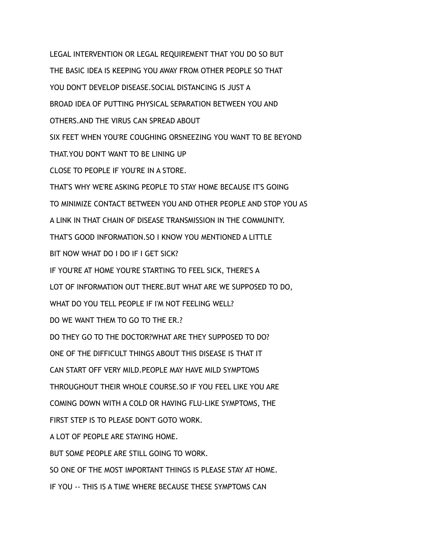LEGAL INTERVENTION OR LEGAL REQUIREMENT THAT YOU DO SO BUT THE BASIC IDEA IS KEEPING YOU AWAY FROM OTHER PEOPLE SO THAT YOU DON'T DEVELOP DISEASE.SOCIAL DISTANCING IS JUST A BROAD IDEA OF PUTTING PHYSICAL SEPARATION BETWEEN YOU AND OTHERS.AND THE VIRUS CAN SPREAD ABOUT SIX FEET WHEN YOU'RE COUGHING ORSNEEZING YOU WANT TO BE BEYOND THAT.YOU DON'T WANT TO BE LINING UP CLOSE TO PEOPLE IF YOU'RE IN A STORE. THAT'S WHY WE'RE ASKING PEOPLE TO STAY HOME BECAUSE IT'S GOING TO MINIMIZE CONTACT BETWEEN YOU AND OTHER PEOPLE AND STOP YOU AS A LINK IN THAT CHAIN OF DISEASE TRANSMISSION IN THE COMMUNITY. THAT'S GOOD INFORMATION.SO I KNOW YOU MENTIONED A LITTLE BIT NOW WHAT DO I DO IF I GET SICK? IF YOU'RE AT HOME YOU'RE STARTING TO FEEL SICK, THERE'S A LOT OF INFORMATION OUT THERE.BUT WHAT ARE WE SUPPOSED TO DO, WHAT DO YOU TELL PEOPLE IF I'M NOT FEELING WELL? DO WE WANT THEM TO GO TO THE ER.? DO THEY GO TO THE DOCTOR?WHAT ARE THEY SUPPOSED TO DO? ONE OF THE DIFFICULT THINGS ABOUT THIS DISEASE IS THAT IT CAN START OFF VERY MILD.PEOPLE MAY HAVE MILD SYMPTOMS THROUGHOUT THEIR WHOLE COURSE.SO IF YOU FEEL LIKE YOU ARE COMING DOWN WITH A COLD OR HAVING FLU-LIKE SYMPTOMS, THE FIRST STEP IS TO PLEASE DON'T GOTO WORK. A LOT OF PEOPLE ARE STAYING HOME. BUT SOME PEOPLE ARE STILL GOING TO WORK. SO ONE OF THE MOST IMPORTANT THINGS IS PLEASE STAY AT HOME. IF YOU -- THIS IS A TIME WHERE BECAUSE THESE SYMPTOMS CAN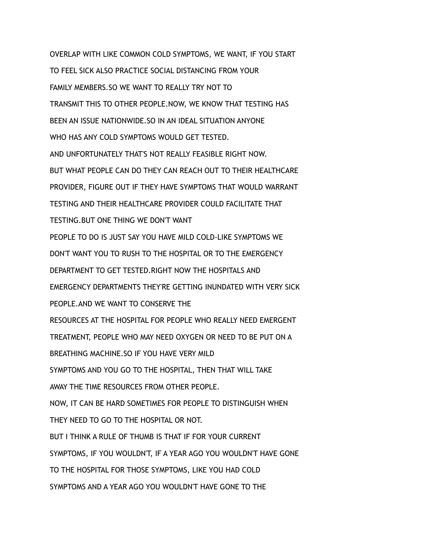OVERLAP WITH LIKE COMMON COLD SYMPTOMS, WE WANT, IF YOU START TO FEEL SICK ALSO PRACTICE SOCIAL DISTANCING FROM YOUR FAMILY MEMBERS.SO WE WANT TO REALLY TRY NOT TO TRANSMIT THIS TO OTHER PEOPLE.NOW, WE KNOW THAT TESTING HAS BEEN AN ISSUE NATIONWIDE.SO IN AN IDEAL SITUATION ANYONE WHO HAS ANY COLD SYMPTOMS WOULD GET TESTED. AND UNFORTUNATELY THAT'S NOT REALLY FEASIBLE RIGHT NOW. BUT WHAT PEOPLE CAN DO THEY CAN REACH OUT TO THEIR HEALTHCARE PROVIDER, FIGURE OUT IF THEY HAVE SYMPTOMS THAT WOULD WARRANT TESTING AND THEIR HEALTHCARE PROVIDER COULD FACILITATE THAT TESTING.BUT ONE THING WE DON'T WANT PEOPLE TO DO IS JUST SAY YOU HAVE MILD COLD-LIKE SYMPTOMS WE DON'T WANT YOU TO RUSH TO THE HOSPITAL OR TO THE EMERGENCY DEPARTMENT TO GET TESTED.RIGHT NOW THE HOSPITALS AND EMERGENCY DEPARTMENTS THEY'RE GETTING INUNDATED WITH VERY SICK PEOPLE.AND WE WANT TO CONSERVE THE RESOURCES AT THE HOSPITAL FOR PEOPLE WHO REALLY NEED EMERGENT TREATMENT, PEOPLE WHO MAY NEED OXYGEN OR NEED TO BE PUT ON A BREATHING MACHINE.SO IF YOU HAVE VERY MILD SYMPTOMS AND YOU GO TO THE HOSPITAL, THEN THAT WILL TAKE AWAY THE TIME RESOURCES FROM OTHER PEOPLE. NOW, IT CAN BE HARD SOMETIMES FOR PEOPLE TO DISTINGUISH WHEN THEY NEED TO GO TO THE HOSPITAL OR NOT. BUT I THINK A RULE OF THUMB IS THAT IF FOR YOUR CURRENT SYMPTOMS, IF YOU WOULDN'T, IF A YEAR AGO YOU WOULDN'T HAVE GONE TO THE HOSPITAL FOR THOSE SYMPTOMS, LIKE YOU HAD COLD SYMPTOMS AND A YEAR AGO YOU WOULDN'T HAVE GONE TO THE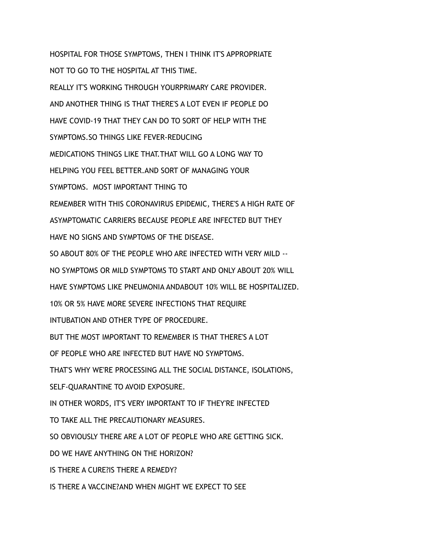HOSPITAL FOR THOSE SYMPTOMS, THEN I THINK IT'S APPROPRIATE NOT TO GO TO THE HOSPITAL AT THIS TIME. REALLY IT'S WORKING THROUGH YOURPRIMARY CARE PROVIDER. AND ANOTHER THING IS THAT THERE'S A LOT EVEN IF PEOPLE DO HAVE COVID-19 THAT THEY CAN DO TO SORT OF HELP WITH THE SYMPTOMS.SO THINGS LIKE FEVER-REDUCING MEDICATIONS THINGS LIKE THAT.THAT WILL GO A LONG WAY TO HELPING YOU FEEL BETTER.AND SORT OF MANAGING YOUR SYMPTOMS. MOST IMPORTANT THING TO REMEMBER WITH THIS CORONAVIRUS EPIDEMIC, THERE'S A HIGH RATE OF ASYMPTOMATIC CARRIERS BECAUSE PEOPLE ARE INFECTED BUT THEY HAVE NO SIGNS AND SYMPTOMS OF THE DISEASE. SO ABOUT 80% OF THE PEOPLE WHO ARE INFECTED WITH VERY MILD -- NO SYMPTOMS OR MILD SYMPTOMS TO START AND ONLY ABOUT 20% WILL HAVE SYMPTOMS LIKE PNEUMONIA ANDABOUT 10% WILL BE HOSPITALIZED. 10% OR 5% HAVE MORE SEVERE INFECTIONS THAT REQUIRE INTUBATION AND OTHER TYPE OF PROCEDURE. BUT THE MOST IMPORTANT TO REMEMBER IS THAT THERE'S A LOT OF PEOPLE WHO ARE INFECTED BUT HAVE NO SYMPTOMS. THAT'S WHY WE'RE PROCESSING ALL THE SOCIAL DISTANCE, ISOLATIONS, SELF-QUARANTINE TO AVOID EXPOSURE. IN OTHER WORDS, IT'S VERY IMPORTANT TO IF THEY'RE INFECTED TO TAKE ALL THE PRECAUTIONARY MEASURES. SO OBVIOUSLY THERE ARE A LOT OF PEOPLE WHO ARE GETTING SICK. DO WE HAVE ANYTHING ON THE HORIZON? IS THERE A CURE?IS THERE A REMEDY? IS THERE A VACCINE?AND WHEN MIGHT WE EXPECT TO SEE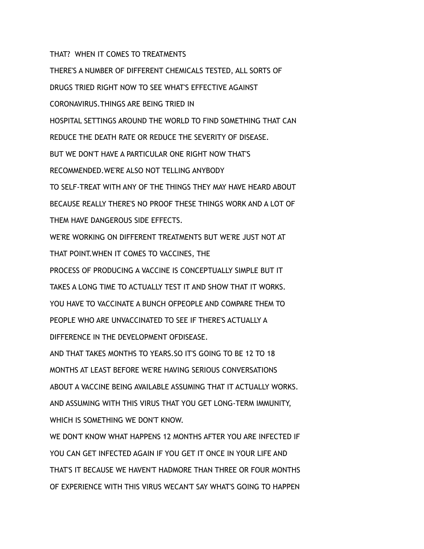THAT? WHEN IT COMES TO TREATMENTS

THERE'S A NUMBER OF DIFFERENT CHEMICALS TESTED, ALL SORTS OF DRUGS TRIED RIGHT NOW TO SEE WHAT'S EFFECTIVE AGAINST CORONAVIRUS.THINGS ARE BEING TRIED IN HOSPITAL SETTINGS AROUND THE WORLD TO FIND SOMETHING THAT CAN REDUCE THE DEATH RATE OR REDUCE THE SEVERITY OF DISEASE. BUT WE DON'T HAVE A PARTICULAR ONE RIGHT NOW THAT'S RECOMMENDED.WE'RE ALSO NOT TELLING ANYBODY TO SELF-TREAT WITH ANY OF THE THINGS THEY MAY HAVE HEARD ABOUT BECAUSE REALLY THERE'S NO PROOF THESE THINGS WORK AND A LOT OF THEM HAVE DANGEROUS SIDE EFFECTS. WE'RE WORKING ON DIFFERENT TREATMENTS BUT WE'RE JUST NOT AT THAT POINT.WHEN IT COMES TO VACCINES, THE PROCESS OF PRODUCING A VACCINE IS CONCEPTUALLY SIMPLE BUT IT TAKES A LONG TIME TO ACTUALLY TEST IT AND SHOW THAT IT WORKS. YOU HAVE TO VACCINATE A BUNCH OFPEOPLE AND COMPARE THEM TO PEOPLE WHO ARE UNVACCINATED TO SEE IF THERE'S ACTUALLY A DIFFERENCE IN THE DEVELOPMENT OFDISEASE. AND THAT TAKES MONTHS TO YEARS.SO IT'S GOING TO BE 12 TO 18 MONTHS AT LEAST BEFORE WE'RE HAVING SERIOUS CONVERSATIONS ABOUT A VACCINE BEING AVAILABLE ASSUMING THAT IT ACTUALLY WORKS. AND ASSUMING WITH THIS VIRUS THAT YOU GET LONG-TERM IMMUNITY, WHICH IS SOMETHING WE DON'T KNOW.

WE DON'T KNOW WHAT HAPPENS 12 MONTHS AFTER YOU ARE INFECTED IF YOU CAN GET INFECTED AGAIN IF YOU GET IT ONCE IN YOUR LIFE AND THAT'S IT BECAUSE WE HAVEN'T HADMORE THAN THREE OR FOUR MONTHS OF EXPERIENCE WITH THIS VIRUS WECAN'T SAY WHAT'S GOING TO HAPPEN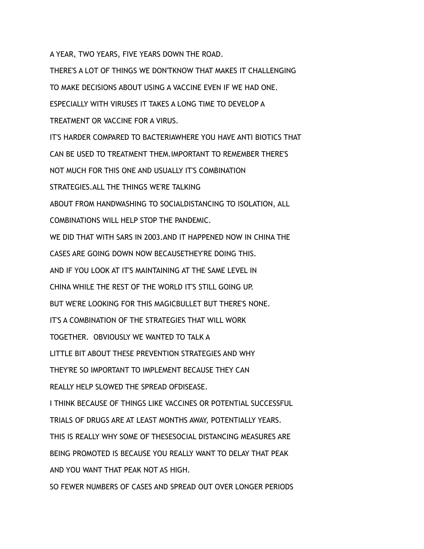A YEAR, TWO YEARS, FIVE YEARS DOWN THE ROAD.

THERE'S A LOT OF THINGS WE DON'TKNOW THAT MAKES IT CHALLENGING TO MAKE DECISIONS ABOUT USING A VACCINE EVEN IF WE HAD ONE. ESPECIALLY WITH VIRUSES IT TAKES A LONG TIME TO DEVELOP A TREATMENT OR VACCINE FOR A VIRUS. IT'S HARDER COMPARED TO BACTERIAWHERE YOU HAVE ANTI BIOTICS THAT CAN BE USED TO TREATMENT THEM.IMPORTANT TO REMEMBER THERE'S NOT MUCH FOR THIS ONE AND USUALLY IT'S COMBINATION STRATEGIES.ALL THE THINGS WE'RE TALKING ABOUT FROM HANDWASHING TO SOCIALDISTANCING TO ISOLATION, ALL COMBINATIONS WILL HELP STOP THE PANDEMIC. WE DID THAT WITH SARS IN 2003.AND IT HAPPENED NOW IN CHINA THE CASES ARE GOING DOWN NOW BECAUSETHEY'RE DOING THIS. AND IF YOU LOOK AT IT'S MAINTAINING AT THE SAME LEVEL IN CHINA WHILE THE REST OF THE WORLD IT'S STILL GOING UP. BUT WE'RE LOOKING FOR THIS MAGICBULLET BUT THERE'S NONE. IT'S A COMBINATION OF THE STRATEGIES THAT WILL WORK TOGETHER. OBVIOUSLY WE WANTED TO TALK A LITTLE BIT ABOUT THESE PREVENTION STRATEGIES AND WHY THEY'RE SO IMPORTANT TO IMPLEMENT BECAUSE THEY CAN REALLY HELP SLOWED THE SPREAD OFDISEASE. I THINK BECAUSE OF THINGS LIKE VACCINES OR POTENTIAL SUCCESSFUL TRIALS OF DRUGS ARE AT LEAST MONTHS AWAY, POTENTIALLY YEARS. THIS IS REALLY WHY SOME OF THESESOCIAL DISTANCING MEASURES ARE BEING PROMOTED IS BECAUSE YOU REALLY WANT TO DELAY THAT PEAK AND YOU WANT THAT PEAK NOT AS HIGH. SO FEWER NUMBERS OF CASES AND SPREAD OUT OVER LONGER PERIODS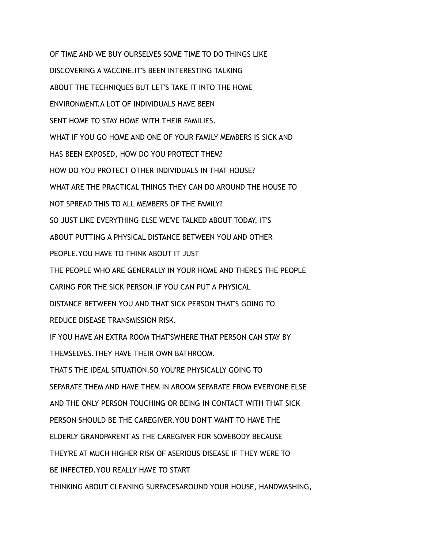OF TIME AND WE BUY OURSELVES SOME TIME TO DO THINGS LIKE DISCOVERING A VACCINE.IT'S BEEN INTERESTING TALKING ABOUT THE TECHNIQUES BUT LET'S TAKE IT INTO THE HOME ENVIRONMENT.A LOT OF INDIVIDUALS HAVE BEEN SENT HOME TO STAY HOME WITH THEIR FAMILIES. WHAT IF YOU GO HOME AND ONE OF YOUR FAMILY MEMBERS IS SICK AND HAS BEEN EXPOSED, HOW DO YOU PROTECT THEM? HOW DO YOU PROTECT OTHER INDIVIDUALS IN THAT HOUSE? WHAT ARE THE PRACTICAL THINGS THEY CAN DO AROUND THE HOUSE TO NOT SPREAD THIS TO ALL MEMBERS OF THE FAMILY? SO JUST LIKE EVERYTHING ELSE WE'VE TALKED ABOUT TODAY, IT'S ABOUT PUTTING A PHYSICAL DISTANCE BETWEEN YOU AND OTHER PEOPLE.YOU HAVE TO THINK ABOUT IT JUST THE PEOPLE WHO ARE GENERALLY IN YOUR HOME AND THERE'S THE PEOPLE CARING FOR THE SICK PERSON.IF YOU CAN PUT A PHYSICAL DISTANCE BETWEEN YOU AND THAT SICK PERSON THAT'S GOING TO REDUCE DISEASE TRANSMISSION RISK. IF YOU HAVE AN EXTRA ROOM THAT'SWHERE THAT PERSON CAN STAY BY THEMSELVES.THEY HAVE THEIR OWN BATHROOM. THAT'S THE IDEAL SITUATION.SO YOU'RE PHYSICALLY GOING TO SEPARATE THEM AND HAVE THEM IN AROOM SEPARATE FROM EVERYONE ELSE AND THE ONLY PERSON TOUCHING OR BEING IN CONTACT WITH THAT SICK PERSON SHOULD BE THE CAREGIVER.YOU DON'T WANT TO HAVE THE ELDERLY GRANDPARENT AS THE CAREGIVER FOR SOMEBODY BECAUSE THEY'RE AT MUCH HIGHER RISK OF ASERIOUS DISEASE IF THEY WERE TO BE INFECTED.YOU REALLY HAVE TO START THINKING ABOUT CLEANING SURFACESAROUND YOUR HOUSE, HANDWASHING,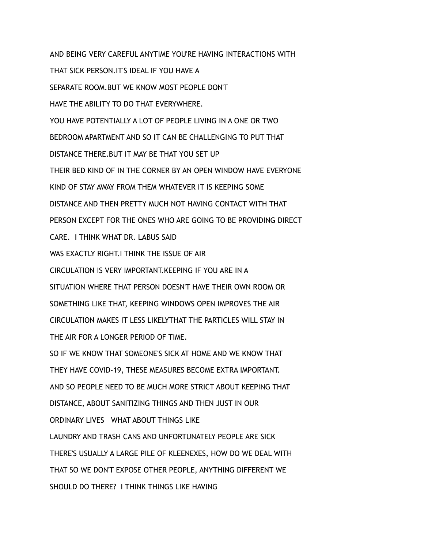AND BEING VERY CAREFUL ANYTIME YOU'RE HAVING INTERACTIONS WITH THAT SICK PERSON.IT'S IDEAL IF YOU HAVE A SEPARATE ROOM.BUT WE KNOW MOST PEOPLE DON'T HAVE THE ABILITY TO DO THAT EVERYWHERE. YOU HAVE POTENTIALLY A LOT OF PEOPLE LIVING IN A ONE OR TWO BEDROOM APARTMENT AND SO IT CAN BE CHALLENGING TO PUT THAT DISTANCE THERE.BUT IT MAY BE THAT YOU SET UP THEIR BED KIND OF IN THE CORNER BY AN OPEN WINDOW HAVE EVERYONE KIND OF STAY AWAY FROM THEM WHATEVER IT IS KEEPING SOME DISTANCE AND THEN PRETTY MUCH NOT HAVING CONTACT WITH THAT PERSON EXCEPT FOR THE ONES WHO ARE GOING TO BE PROVIDING DIRECT CARE. I THINK WHAT DR. LABUS SAID WAS EXACTLY RIGHT.I THINK THE ISSUE OF AIR CIRCULATION IS VERY IMPORTANT.KEEPING IF YOU ARE IN A SITUATION WHERE THAT PERSON DOESN'T HAVE THEIR OWN ROOM OR SOMETHING LIKE THAT, KEEPING WINDOWS OPEN IMPROVES THE AIR CIRCULATION MAKES IT LESS LIKELYTHAT THE PARTICLES WILL STAY IN THE AIR FOR A LONGER PERIOD OF TIME. SO IF WE KNOW THAT SOMEONE'S SICK AT HOME AND WE KNOW THAT THEY HAVE COVID-19, THESE MEASURES BECOME EXTRA IMPORTANT. AND SO PEOPLE NEED TO BE MUCH MORE STRICT ABOUT KEEPING THAT DISTANCE, ABOUT SANITIZING THINGS AND THEN JUST IN OUR ORDINARY LIVES WHAT ABOUT THINGS LIKE LAUNDRY AND TRASH CANS AND UNFORTUNATELY PEOPLE ARE SICK THERE'S USUALLY A LARGE PILE OF KLEENEXES, HOW DO WE DEAL WITH THAT SO WE DON'T EXPOSE OTHER PEOPLE, ANYTHING DIFFERENT WE SHOULD DO THERE? I THINK THINGS LIKE HAVING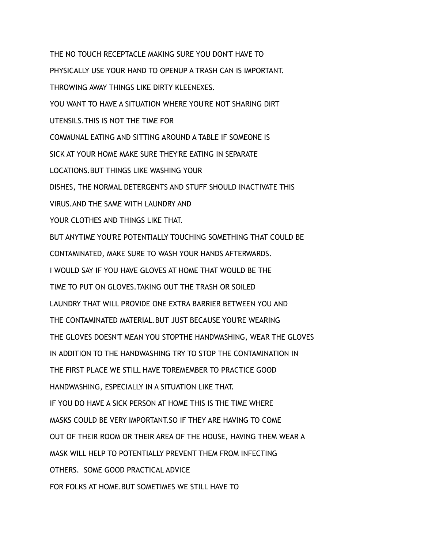THE NO TOUCH RECEPTACLE MAKING SURE YOU DON'T HAVE TO PHYSICALLY USE YOUR HAND TO OPENUP A TRASH CAN IS IMPORTANT. THROWING AWAY THINGS LIKE DIRTY KLEENEXES. YOU WANT TO HAVE A SITUATION WHERE YOU'RE NOT SHARING DIRT UTENSILS.THIS IS NOT THE TIME FOR COMMUNAL EATING AND SITTING AROUND A TABLE IF SOMEONE IS SICK AT YOUR HOME MAKE SURE THEY'RE EATING IN SEPARATE LOCATIONS.BUT THINGS LIKE WASHING YOUR DISHES, THE NORMAL DETERGENTS AND STUFF SHOULD INACTIVATE THIS VIRUS.AND THE SAME WITH LAUNDRY AND YOUR CLOTHES AND THINGS LIKE THAT. BUT ANYTIME YOU'RE POTENTIALLY TOUCHING SOMETHING THAT COULD BE CONTAMINATED, MAKE SURE TO WASH YOUR HANDS AFTERWARDS. I WOULD SAY IF YOU HAVE GLOVES AT HOME THAT WOULD BE THE TIME TO PUT ON GLOVES.TAKING OUT THE TRASH OR SOILED LAUNDRY THAT WILL PROVIDE ONE EXTRA BARRIER BETWEEN YOU AND THE CONTAMINATED MATERIAL.BUT JUST BECAUSE YOU'RE WEARING THE GLOVES DOESN'T MEAN YOU STOPTHE HANDWASHING, WEAR THE GLOVES IN ADDITION TO THE HANDWASHING TRY TO STOP THE CONTAMINATION IN THE FIRST PLACE WE STILL HAVE TOREMEMBER TO PRACTICE GOOD HANDWASHING, ESPECIALLY IN A SITUATION LIKE THAT. IF YOU DO HAVE A SICK PERSON AT HOME THIS IS THE TIME WHERE MASKS COULD BE VERY IMPORTANT.SO IF THEY ARE HAVING TO COME OUT OF THEIR ROOM OR THEIR AREA OF THE HOUSE, HAVING THEM WEAR A MASK WILL HELP TO POTENTIALLY PREVENT THEM FROM INFECTING OTHERS. SOME GOOD PRACTICAL ADVICE FOR FOLKS AT HOME.BUT SOMETIMES WE STILL HAVE TO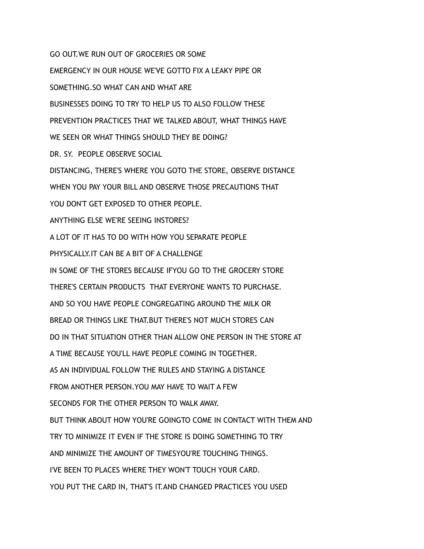GO OUT.WE RUN OUT OF GROCERIES OR SOME

EMERGENCY IN OUR HOUSE WE'VE GOTTO FIX A LEAKY PIPE OR SOMETHING.SO WHAT CAN AND WHAT ARE BUSINESSES DOING TO TRY TO HELP US TO ALSO FOLLOW THESE PREVENTION PRACTICES THAT WE TALKED ABOUT, WHAT THINGS HAVE WE SEEN OR WHAT THINGS SHOULD THEY BE DOING? DR. SY. PEOPLE OBSERVE SOCIAL DISTANCING, THERE'S WHERE YOU GOTO THE STORE, OBSERVE DISTANCE WHEN YOU PAY YOUR BILL AND OBSERVE THOSE PRECAUTIONS THAT YOU DON'T GET EXPOSED TO OTHER PEOPLE. ANYTHING ELSE WE'RE SEEING INSTORES? A LOT OF IT HAS TO DO WITH HOW YOU SEPARATE PEOPLE PHYSICALLY.IT CAN BE A BIT OF A CHALLENGE IN SOME OF THE STORES BECAUSE IFYOU GO TO THE GROCERY STORE THERE'S CERTAIN PRODUCTS THAT EVERYONE WANTS TO PURCHASE. AND SO YOU HAVE PEOPLE CONGREGATING AROUND THE MILK OR BREAD OR THINGS LIKE THAT.BUT THERE'S NOT MUCH STORES CAN DO IN THAT SITUATION OTHER THAN ALLOW ONE PERSON IN THE STORE AT A TIME BECAUSE YOU'LL HAVE PEOPLE COMING IN TOGETHER. AS AN INDIVIDUAL FOLLOW THE RULES AND STAYING A DISTANCE FROM ANOTHER PERSON.YOU MAY HAVE TO WAIT A FEW SECONDS FOR THE OTHER PERSON TO WALK AWAY. BUT THINK ABOUT HOW YOU'RE GOINGTO COME IN CONTACT WITH THEM AND TRY TO MINIMIZE IT EVEN IF THE STORE IS DOING SOMETHING TO TRY AND MINIMIZE THE AMOUNT OF TIMESYOU'RE TOUCHING THINGS. I'VE BEEN TO PLACES WHERE THEY WON'T TOUCH YOUR CARD. YOU PUT THE CARD IN, THAT'S IT.AND CHANGED PRACTICES YOU USED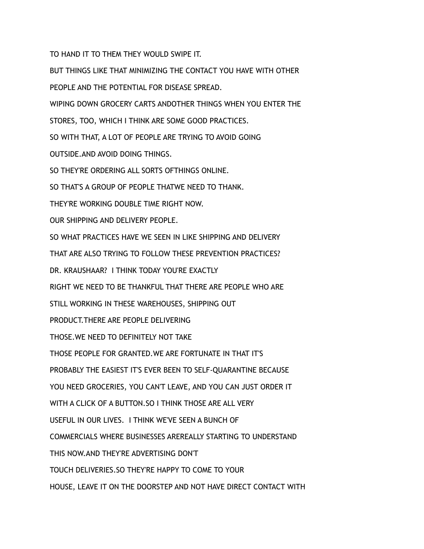TO HAND IT TO THEM THEY WOULD SWIPE IT.

BUT THINGS LIKE THAT MINIMIZING THE CONTACT YOU HAVE WITH OTHER PEOPLE AND THE POTENTIAL FOR DISEASE SPREAD. WIPING DOWN GROCERY CARTS ANDOTHER THINGS WHEN YOU ENTER THE STORES, TOO, WHICH I THINK ARE SOME GOOD PRACTICES. SO WITH THAT, A LOT OF PEOPLE ARE TRYING TO AVOID GOING OUTSIDE.AND AVOID DOING THINGS. SO THEY'RE ORDERING ALL SORTS OFTHINGS ONLINE. SO THAT'S A GROUP OF PEOPLE THATWE NEED TO THANK. THEY'RE WORKING DOUBLE TIME RIGHT NOW. OUR SHIPPING AND DELIVERY PEOPLE. SO WHAT PRACTICES HAVE WE SEEN IN LIKE SHIPPING AND DELIVERY THAT ARE ALSO TRYING TO FOLLOW THESE PREVENTION PRACTICES? DR. KRAUSHAAR? I THINK TODAY YOU'RE EXACTLY RIGHT WE NEED TO BE THANKFUL THAT THERE ARE PEOPLE WHO ARE STILL WORKING IN THESE WAREHOUSES, SHIPPING OUT PRODUCT.THERE ARE PEOPLE DELIVERING THOSE.WE NEED TO DEFINITELY NOT TAKE THOSE PEOPLE FOR GRANTED.WE ARE FORTUNATE IN THAT IT'S PROBABLY THE EASIEST IT'S EVER BEEN TO SELF-QUARANTINE BECAUSE YOU NEED GROCERIES, YOU CAN'T LEAVE, AND YOU CAN JUST ORDER IT WITH A CLICK OF A BUTTON.SO I THINK THOSE ARE ALL VERY USEFUL IN OUR LIVES. I THINK WE'VE SEEN A BUNCH OF COMMERCIALS WHERE BUSINESSES AREREALLY STARTING TO UNDERSTAND THIS NOW.AND THEY'RE ADVERTISING DON'T TOUCH DELIVERIES.SO THEY'RE HAPPY TO COME TO YOUR HOUSE, LEAVE IT ON THE DOORSTEP AND NOT HAVE DIRECT CONTACT WITH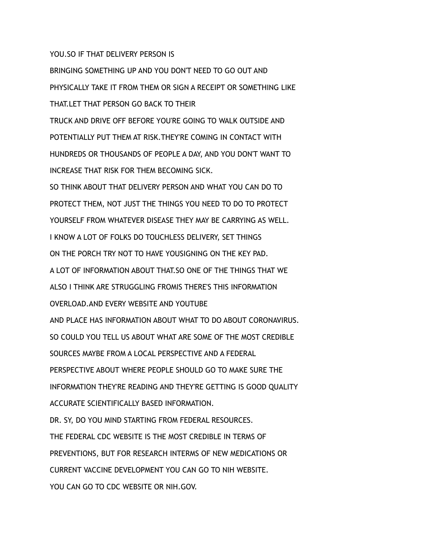YOU.SO IF THAT DELIVERY PERSON IS

BRINGING SOMETHING UP AND YOU DON'T NEED TO GO OUT AND PHYSICALLY TAKE IT FROM THEM OR SIGN A RECEIPT OR SOMETHING LIKE THAT.LET THAT PERSON GO BACK TO THEIR TRUCK AND DRIVE OFF BEFORE YOU'RE GOING TO WALK OUTSIDE AND POTENTIALLY PUT THEM AT RISK.THEY'RE COMING IN CONTACT WITH HUNDREDS OR THOUSANDS OF PEOPLE A DAY, AND YOU DON'T WANT TO INCREASE THAT RISK FOR THEM BECOMING SICK. SO THINK ABOUT THAT DELIVERY PERSON AND WHAT YOU CAN DO TO PROTECT THEM, NOT JUST THE THINGS YOU NEED TO DO TO PROTECT YOURSELF FROM WHATEVER DISEASE THEY MAY BE CARRYING AS WELL. I KNOW A LOT OF FOLKS DO TOUCHLESS DELIVERY, SET THINGS ON THE PORCH TRY NOT TO HAVE YOUSIGNING ON THE KEY PAD. A LOT OF INFORMATION ABOUT THAT.SO ONE OF THE THINGS THAT WE ALSO I THINK ARE STRUGGLING FROMIS THERE'S THIS INFORMATION OVERLOAD.AND EVERY WEBSITE AND YOUTUBE AND PLACE HAS INFORMATION ABOUT WHAT TO DO ABOUT CORONAVIRUS. SO COULD YOU TELL US ABOUT WHAT ARE SOME OF THE MOST CREDIBLE SOURCES MAYBE FROM A LOCAL PERSPECTIVE AND A FEDERAL PERSPECTIVE ABOUT WHERE PEOPLE SHOULD GO TO MAKE SURE THE INFORMATION THEY'RE READING AND THEY'RE GETTING IS GOOD QUALITY ACCURATE SCIENTIFICALLY BASED INFORMATION. DR. SY, DO YOU MIND STARTING FROM FEDERAL RESOURCES. THE FEDERAL CDC WEBSITE IS THE MOST CREDIBLE IN TERMS OF PREVENTIONS, BUT FOR RESEARCH INTERMS OF NEW MEDICATIONS OR CURRENT VACCINE DEVELOPMENT YOU CAN GO TO NIH WEBSITE. YOU CAN GO TO CDC WEBSITE OR NIH.GOV.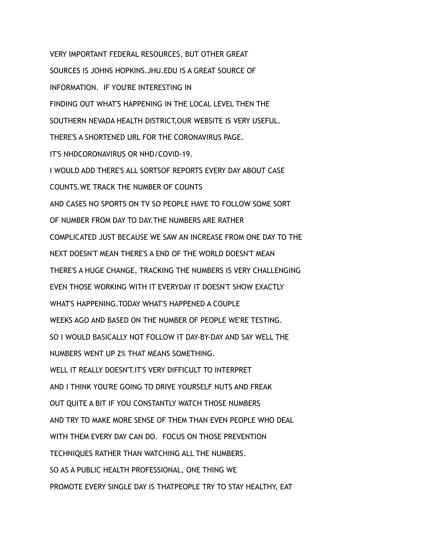VERY IMPORTANT FEDERAL RESOURCES, BUT OTHER GREAT SOURCES IS JOHNS HOPKINS.JHU.EDU IS A GREAT SOURCE OF INFORMATION. IF YOU'RE INTERESTING IN FINDING OUT WHAT'S HAPPENING IN THE LOCAL LEVEL THEN THE SOUTHERN NEVADA HEALTH DISTRICT,OUR WEBSITE IS VERY USEFUL. THERE'S A SHORTENED URL FOR THE CORONAVIRUS PAGE. IT'S NHDCORONAVIRUS OR NHD/COVID-19. I WOULD ADD THERE'S ALL SORTSOF REPORTS EVERY DAY ABOUT CASE COUNTS.WE TRACK THE NUMBER OF COUNTS AND CASES NO SPORTS ON TV SO PEOPLE HAVE TO FOLLOW SOME SORT OF NUMBER FROM DAY TO DAY.THE NUMBERS ARE RATHER COMPLICATED JUST BECAUSE WE SAW AN INCREASE FROM ONE DAY TO THE NEXT DOESN'T MEAN THERE'S A END OF THE WORLD DOESN'T MEAN THERE'S A HUGE CHANGE, TRACKING THE NUMBERS IS VERY CHALLENGING EVEN THOSE WORKING WITH IT EVERYDAY IT DOESN'T SHOW EXACTLY WHAT'S HAPPENING.TODAY WHAT'S HAPPENED A COUPLE WEEKS AGO AND BASED ON THE NUMBER OF PEOPLE WE'RE TESTING. SO I WOULD BASICALLY NOT FOLLOW IT DAY-BY-DAY AND SAY WELL THE NUMBERS WENT UP 2% THAT MEANS SOMETHING. WELL IT REALLY DOESN'T.IT'S VERY DIFFICULT TO INTERPRET AND I THINK YOU'RE GOING TO DRIVE YOURSELF NUTS AND FREAK OUT QUITE A BIT IF YOU CONSTANTLY WATCH THOSE NUMBERS AND TRY TO MAKE MORE SENSE OF THEM THAN EVEN PEOPLE WHO DEAL WITH THEM EVERY DAY CAN DO. FOCUS ON THOSE PREVENTION TECHNIQUES RATHER THAN WATCHING ALL THE NUMBERS. SO AS A PUBLIC HEALTH PROFESSIONAL, ONE THING WE PROMOTE EVERY SINGLE DAY IS THATPEOPLE TRY TO STAY HEALTHY, EAT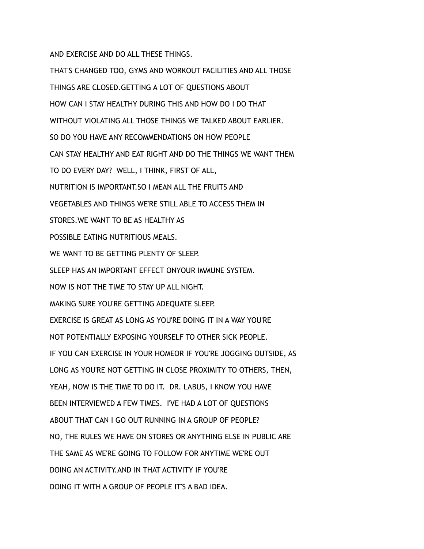AND EXERCISE AND DO ALL THESE THINGS.

THAT'S CHANGED TOO, GYMS AND WORKOUT FACILITIES AND ALL THOSE THINGS ARE CLOSED.GETTING A LOT OF QUESTIONS ABOUT HOW CAN I STAY HEALTHY DURING THIS AND HOW DO I DO THAT WITHOUT VIOLATING ALL THOSE THINGS WE TALKED ABOUT EARLIER. SO DO YOU HAVE ANY RECOMMENDATIONS ON HOW PEOPLE CAN STAY HEALTHY AND EAT RIGHT AND DO THE THINGS WE WANT THEM TO DO EVERY DAY? WELL, I THINK, FIRST OF ALL, NUTRITION IS IMPORTANT.SO I MEAN ALL THE FRUITS AND VEGETABLES AND THINGS WE'RE STILL ABLE TO ACCESS THEM IN STORES.WE WANT TO BE AS HEALTHY AS POSSIBLE EATING NUTRITIOUS MEALS. WE WANT TO BE GETTING PLENTY OF SLEEP. SLEEP HAS AN IMPORTANT EFFECT ONYOUR IMMUNE SYSTEM. NOW IS NOT THE TIME TO STAY UP ALL NIGHT. MAKING SURE YOU'RE GETTING ADEQUATE SLEEP. EXERCISE IS GREAT AS LONG AS YOU'RE DOING IT IN A WAY YOU'RE NOT POTENTIALLY EXPOSING YOURSELF TO OTHER SICK PEOPLE. IF YOU CAN EXERCISE IN YOUR HOMEOR IF YOU'RE JOGGING OUTSIDE, AS LONG AS YOU'RE NOT GETTING IN CLOSE PROXIMITY TO OTHERS, THEN, YEAH, NOW IS THE TIME TO DO IT. DR. LABUS, I KNOW YOU HAVE BEEN INTERVIEWED A FEW TIMES. I'VE HAD A LOT OF QUESTIONS ABOUT THAT CAN I GO OUT RUNNING IN A GROUP OF PEOPLE? NO, THE RULES WE HAVE ON STORES OR ANYTHING ELSE IN PUBLIC ARE THE SAME AS WE'RE GOING TO FOLLOW FOR ANYTIME WE'RE OUT DOING AN ACTIVITY.AND IN THAT ACTIVITY IF YOU'RE DOING IT WITH A GROUP OF PEOPLE IT'S A BAD IDEA.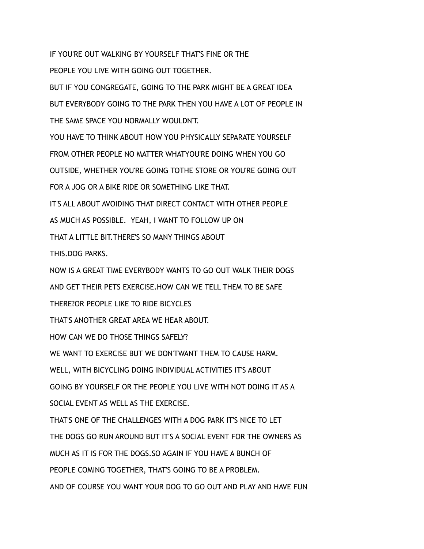IF YOU'RE OUT WALKING BY YOURSELF THAT'S FINE OR THE PEOPLE YOU LIVE WITH GOING OUT TOGETHER.

BUT IF YOU CONGREGATE, GOING TO THE PARK MIGHT BE A GREAT IDEA BUT EVERYBODY GOING TO THE PARK THEN YOU HAVE A LOT OF PEOPLE IN THE SAME SPACE YOU NORMALLY WOULDN'T.

YOU HAVE TO THINK ABOUT HOW YOU PHYSICALLY SEPARATE YOURSELF FROM OTHER PEOPLE NO MATTER WHATYOU'RE DOING WHEN YOU GO OUTSIDE, WHETHER YOU'RE GOING TOTHE STORE OR YOU'RE GOING OUT

FOR A JOG OR A BIKE RIDE OR SOMETHING LIKE THAT.

IT'S ALL ABOUT AVOIDING THAT DIRECT CONTACT WITH OTHER PEOPLE

AS MUCH AS POSSIBLE. YEAH, I WANT TO FOLLOW UP ON

THAT A LITTLE BIT.THERE'S SO MANY THINGS ABOUT

THIS.DOG PARKS.

NOW IS A GREAT TIME EVERYBODY WANTS TO GO OUT WALK THEIR DOGS

AND GET THEIR PETS EXERCISE.HOW CAN WE TELL THEM TO BE SAFE

THERE?OR PEOPLE LIKE TO RIDE BICYCLES

THAT'S ANOTHER GREAT AREA WE HEAR ABOUT.

HOW CAN WE DO THOSE THINGS SAFFLY?

WE WANT TO EXERCISE BUT WE DON'TWANT THEM TO CAUSE HARM.

WELL, WITH BICYCLING DOING INDIVIDUAL ACTIVITIES IT'S ABOUT

GOING BY YOURSELF OR THE PEOPLE YOU LIVE WITH NOT DOING IT AS A

SOCIAL EVENT AS WELL AS THE EXERCISE.

THAT'S ONE OF THE CHALLENGES WITH A DOG PARK IT'S NICE TO LET

THE DOGS GO RUN AROUND BUT IT'S A SOCIAL EVENT FOR THE OWNERS AS

MUCH AS IT IS FOR THE DOGS.SO AGAIN IF YOU HAVE A BUNCH OF

PEOPLE COMING TOGETHER, THAT'S GOING TO BE A PROBLEM.

AND OF COURSE YOU WANT YOUR DOG TO GO OUT AND PLAY AND HAVE FUN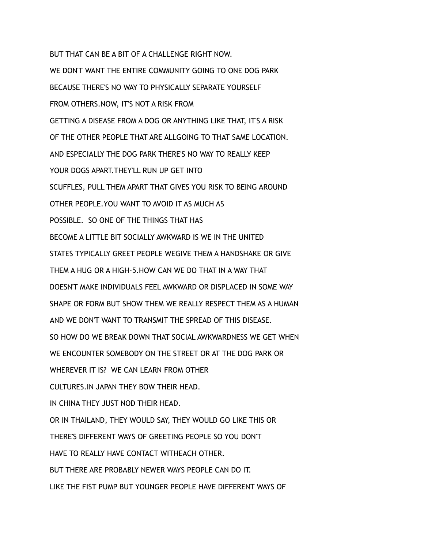BUT THAT CAN BE A BIT OF A CHALLENGE RIGHT NOW. WE DON'T WANT THE ENTIRE COMMUNITY GOING TO ONE DOG PARK BECAUSE THERE'S NO WAY TO PHYSICALLY SEPARATE YOURSELF FROM OTHERS.NOW, IT'S NOT A RISK FROM GETTING A DISEASE FROM A DOG OR ANYTHING LIKE THAT, IT'S A RISK OF THE OTHER PEOPLE THAT ARE ALLGOING TO THAT SAME LOCATION. AND ESPECIALLY THE DOG PARK THERE'S NO WAY TO REALLY KEEP YOUR DOGS APART. THEY'LL RUN UP GET INTO SCUFFLES, PULL THEM APART THAT GIVES YOU RISK TO BEING AROUND OTHER PEOPLE.YOU WANT TO AVOID IT AS MUCH AS POSSIBLE. SO ONE OF THE THINGS THAT HAS BECOME A LITTLE BIT SOCIALLY AWKWARD IS WE IN THE UNITED STATES TYPICALLY GREET PEOPLE WEGIVE THEM A HANDSHAKE OR GIVE THEM A HUG OR A HIGH-5.HOW CAN WE DO THAT IN A WAY THAT DOESN'T MAKE INDIVIDUALS FEEL AWKWARD OR DISPLACED IN SOME WAY SHAPE OR FORM BUT SHOW THEM WE REALLY RESPECT THEM AS A HUMAN AND WE DON'T WANT TO TRANSMIT THE SPREAD OF THIS DISEASE. SO HOW DO WE BREAK DOWN THAT SOCIAL AWKWARDNESS WE GET WHEN WE ENCOUNTER SOMEBODY ON THE STREET OR AT THE DOG PARK OR WHEREVER IT IS? WE CAN LEARN FROM OTHER CULTURES. IN JAPAN THEY BOW THEIR HEAD. IN CHINA THEY JUST NOD THEIR HEAD. OR IN THAILAND, THEY WOULD SAY, THEY WOULD GO LIKE THIS OR THERE'S DIFFERENT WAYS OF GREETING PEOPLE SO YOU DON'T HAVE TO REALLY HAVE CONTACT WITHEACH OTHER. BUT THERE ARE PROBABLY NEWER WAYS PEOPLE CAN DO IT. LIKE THE FIST PUMP BUT YOUNGER PEOPLE HAVE DIFFERENT WAYS OF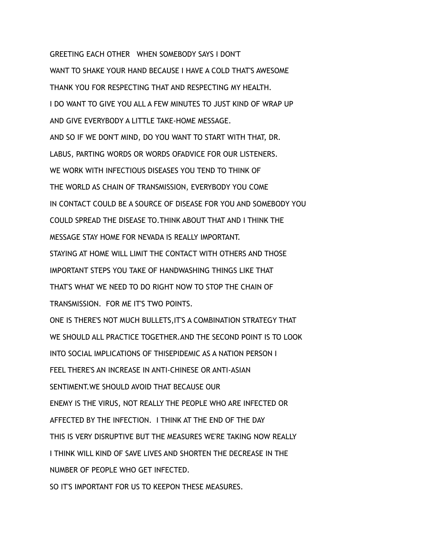GREETING EACH OTHER WHEN SOMEBODY SAYS I DON'T WANT TO SHAKE YOUR HAND BECAUSE I HAVE A COLD THAT'S AWESOME THANK YOU FOR RESPECTING THAT AND RESPECTING MY HEALTH. I DO WANT TO GIVE YOU ALL A FEW MINUTES TO JUST KIND OF WRAP UP AND GIVE EVERYBODY A LITTLE TAKE-HOME MESSAGE. AND SO IF WE DON'T MIND, DO YOU WANT TO START WITH THAT, DR. LABUS, PARTING WORDS OR WORDS OFADVICE FOR OUR LISTENERS. WE WORK WITH INFECTIOUS DISEASES YOU TEND TO THINK OF THE WORLD AS CHAIN OF TRANSMISSION, EVERYBODY YOU COME IN CONTACT COULD BE A SOURCE OF DISEASE FOR YOU AND SOMEBODY YOU COULD SPREAD THE DISEASE TO.THINK ABOUT THAT AND I THINK THE MESSAGE STAY HOME FOR NEVADA IS REALLY IMPORTANT. STAYING AT HOME WILL LIMIT THE CONTACT WITH OTHERS AND THOSE IMPORTANT STEPS YOU TAKE OF HANDWASHING THINGS LIKE THAT THAT'S WHAT WE NEED TO DO RIGHT NOW TO STOP THE CHAIN OF TRANSMISSION. FOR ME IT'S TWO POINTS. ONE IS THERE'S NOT MUCH BULLETS,IT'S A COMBINATION STRATEGY THAT WE SHOULD ALL PRACTICE TOGETHER, AND THE SECOND POINT IS TO LOOK INTO SOCIAL IMPLICATIONS OF THISEPIDEMIC AS A NATION PERSON I FEEL THERE'S AN INCREASE IN ANTI-CHINESE OR ANTI-ASIAN SENTIMENT.WE SHOULD AVOID THAT BECAUSE OUR ENEMY IS THE VIRUS, NOT REALLY THE PEOPLE WHO ARE INFECTED OR AFFECTED BY THE INFECTION. I THINK AT THE END OF THE DAY THIS IS VERY DISRUPTIVE BUT THE MEASURES WE'RE TAKING NOW REALLY I THINK WILL KIND OF SAVE LIVES AND SHORTEN THE DECREASE IN THE NUMBER OF PEOPLE WHO GET INFECTED. SO IT'S IMPORTANT FOR US TO KEEPON THESE MEASURES.